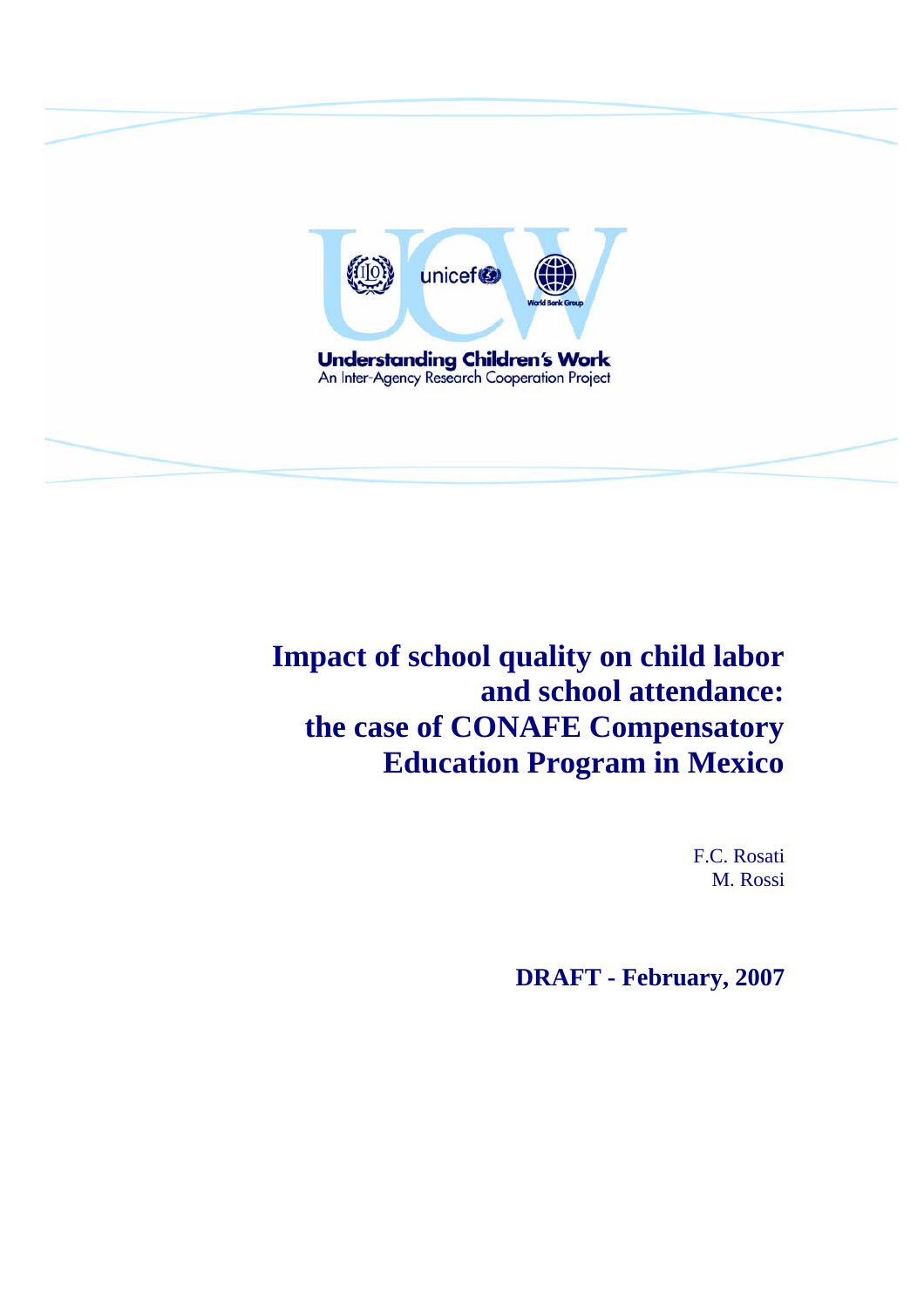

**Impact of school quality on child labor and school attendance: the case of CONAFE Compensatory Education Program in Mexico** 

> F.C. Rosati M. Rossi

**DRAFT - February, 2007**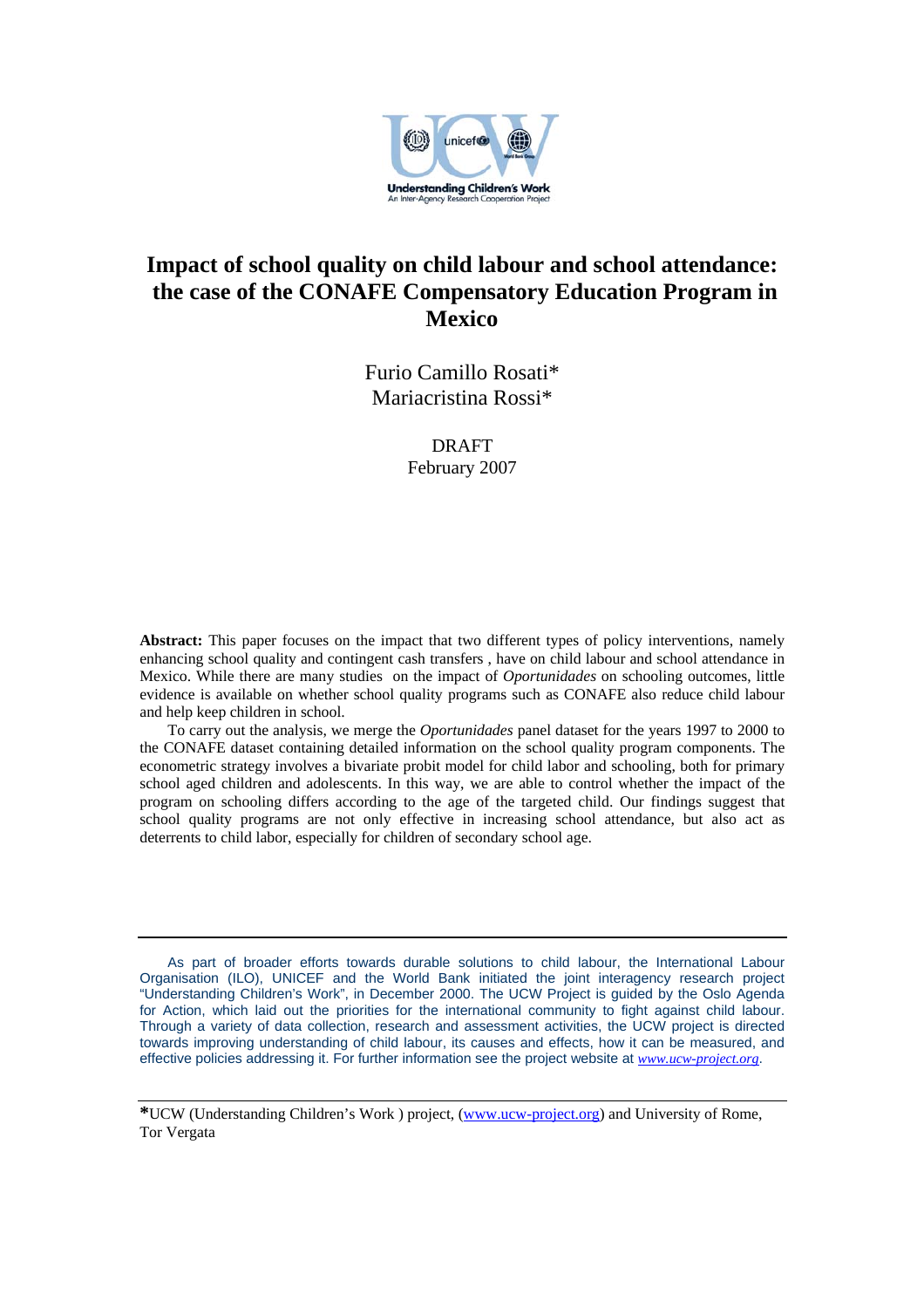

## **Impact of school quality on child labour and school attendance: the case of the CONAFE Compensatory Education Program in Mexico**

Furio Camillo Rosati\* Mariacristina Rossi\*

#### DRAFT

February 2007

**Abstract:** This paper focuses on the impact that two different types of policy interventions, namely enhancing school quality and contingent cash transfers , have on child labour and school attendance in Mexico. While there are many studies on the impact of *Oportunidades* on schooling outcomes, little evidence is available on whether school quality programs such as CONAFE also reduce child labour and help keep children in school.

To carry out the analysis, we merge the *Oportunidades* panel dataset for the years 1997 to 2000 to the CONAFE dataset containing detailed information on the school quality program components. The econometric strategy involves a bivariate probit model for child labor and schooling, both for primary school aged children and adolescents. In this way, we are able to control whether the impact of the program on schooling differs according to the age of the targeted child. Our findings suggest that school quality programs are not only effective in increasing school attendance, but also act as deterrents to child labor, especially for children of secondary school age.

As part of broader efforts towards durable solutions to child labour, the International Labour Organisation (ILO), UNICEF and the World Bank initiated the joint interagency research project "Understanding Children's Work", in December 2000. The UCW Project is guided by the Oslo Agenda for Action, which laid out the priorities for the international community to fight against child labour. Through a variety of data collection, research and assessment activities, the UCW project is directed towards improving understanding of child labour, its causes and effects, how it can be measured, and effective policies addressing it. For further information see the project website at *www.ucw-project.org*.

**\***UCW (Understanding Children's Work ) project, (www.ucw-project.org) and University of Rome, Tor Vergata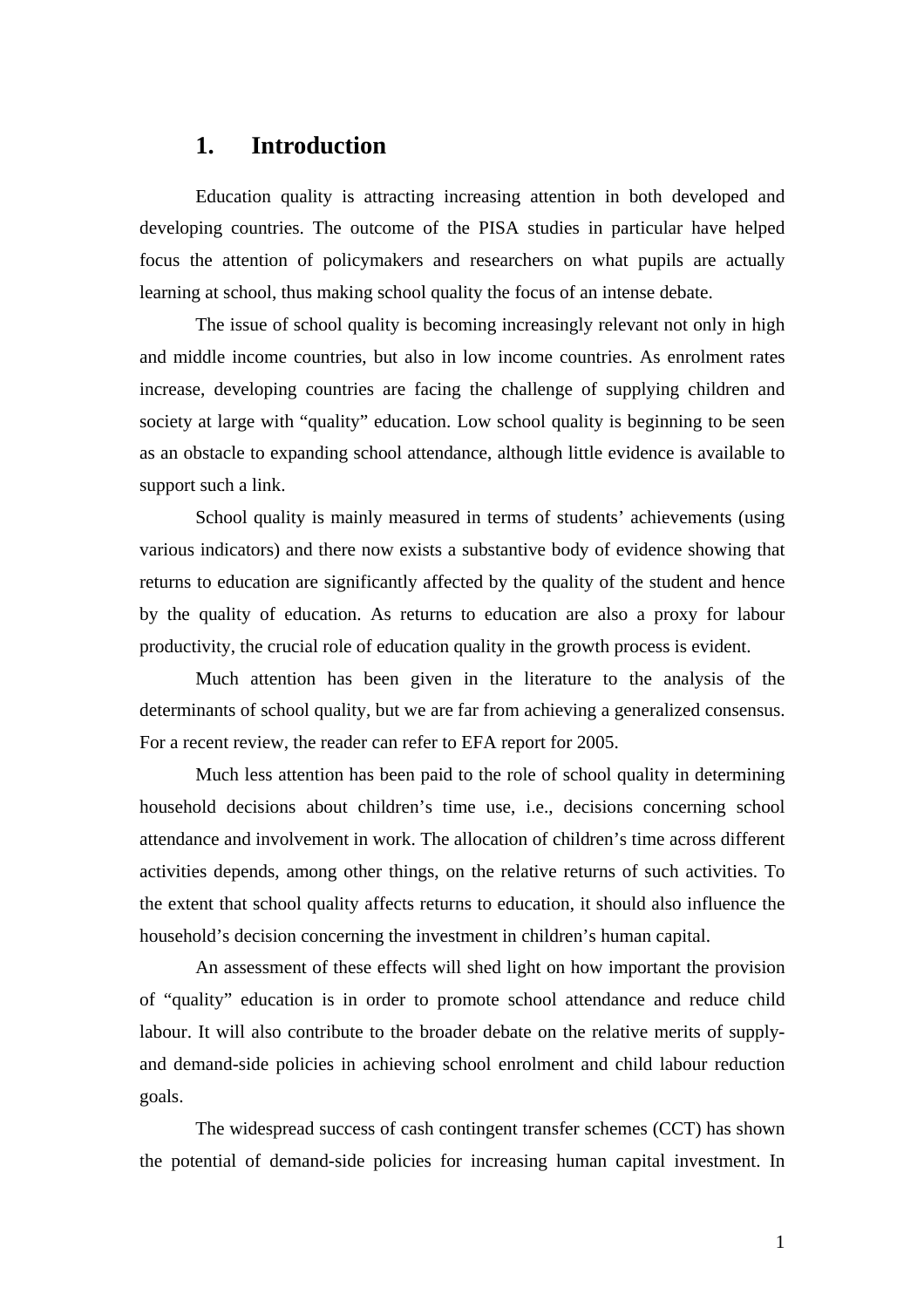## **1. Introduction**

Education quality is attracting increasing attention in both developed and developing countries. The outcome of the PISA studies in particular have helped focus the attention of policymakers and researchers on what pupils are actually learning at school, thus making school quality the focus of an intense debate.

The issue of school quality is becoming increasingly relevant not only in high and middle income countries, but also in low income countries. As enrolment rates increase, developing countries are facing the challenge of supplying children and society at large with "quality" education. Low school quality is beginning to be seen as an obstacle to expanding school attendance, although little evidence is available to support such a link.

School quality is mainly measured in terms of students' achievements (using various indicators) and there now exists a substantive body of evidence showing that returns to education are significantly affected by the quality of the student and hence by the quality of education. As returns to education are also a proxy for labour productivity, the crucial role of education quality in the growth process is evident.

Much attention has been given in the literature to the analysis of the determinants of school quality, but we are far from achieving a generalized consensus. For a recent review, the reader can refer to EFA report for 2005.

Much less attention has been paid to the role of school quality in determining household decisions about children's time use, i.e., decisions concerning school attendance and involvement in work. The allocation of children's time across different activities depends, among other things, on the relative returns of such activities. To the extent that school quality affects returns to education, it should also influence the household's decision concerning the investment in children's human capital.

An assessment of these effects will shed light on how important the provision of "quality" education is in order to promote school attendance and reduce child labour. It will also contribute to the broader debate on the relative merits of supplyand demand-side policies in achieving school enrolment and child labour reduction goals.

The widespread success of cash contingent transfer schemes (CCT) has shown the potential of demand-side policies for increasing human capital investment. In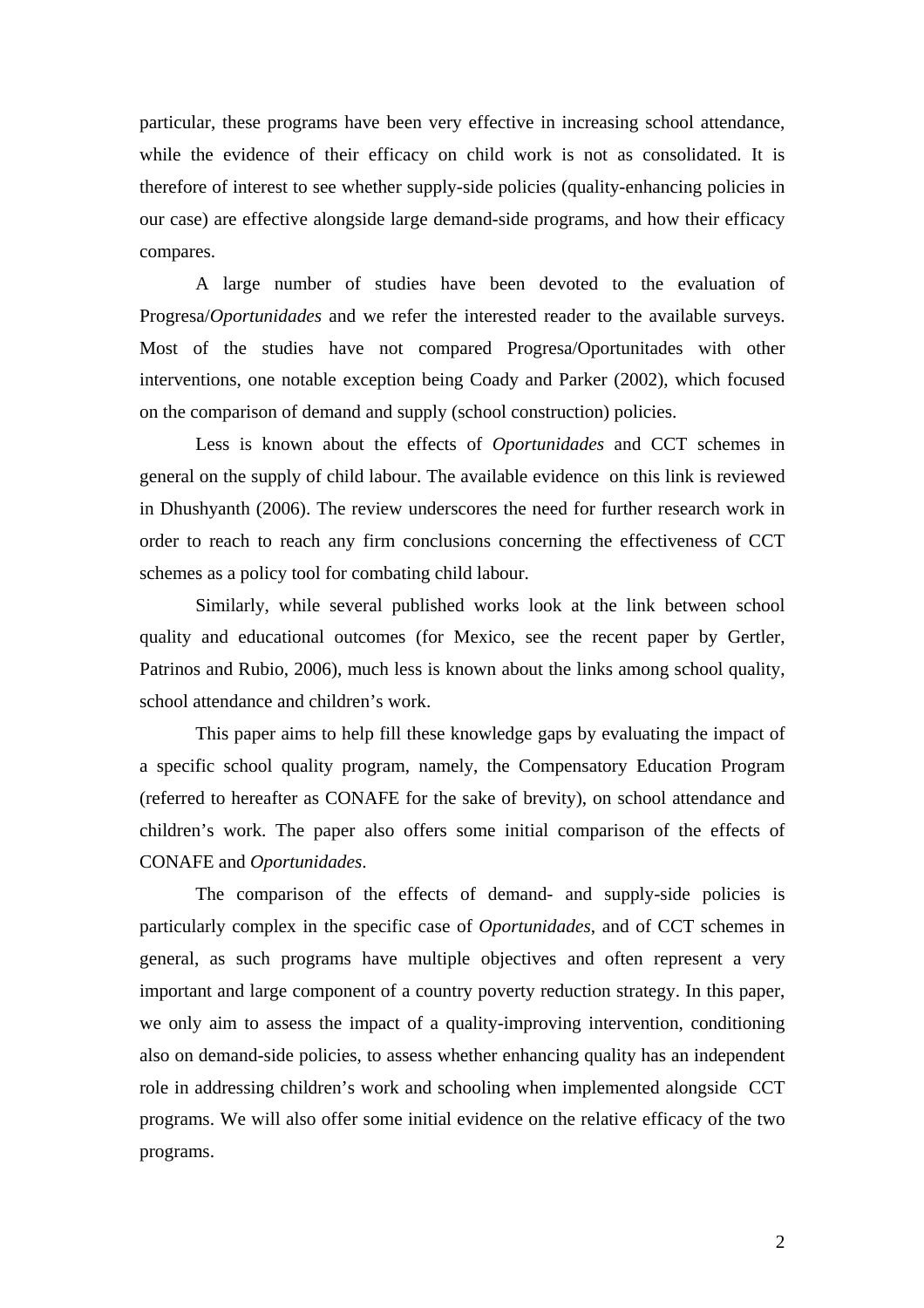particular, these programs have been very effective in increasing school attendance, while the evidence of their efficacy on child work is not as consolidated. It is therefore of interest to see whether supply-side policies (quality-enhancing policies in our case) are effective alongside large demand-side programs, and how their efficacy compares.

A large number of studies have been devoted to the evaluation of Progresa/*Oportunidades* and we refer the interested reader to the available surveys. Most of the studies have not compared Progresa/Oportunitades with other interventions, one notable exception being Coady and Parker (2002), which focused on the comparison of demand and supply (school construction) policies.

Less is known about the effects of *Oportunidades* and CCT schemes in general on the supply of child labour. The available evidence on this link is reviewed in Dhushyanth (2006). The review underscores the need for further research work in order to reach to reach any firm conclusions concerning the effectiveness of CCT schemes as a policy tool for combating child labour.

Similarly, while several published works look at the link between school quality and educational outcomes (for Mexico, see the recent paper by Gertler, Patrinos and Rubio, 2006), much less is known about the links among school quality, school attendance and children's work.

This paper aims to help fill these knowledge gaps by evaluating the impact of a specific school quality program, namely, the Compensatory Education Program (referred to hereafter as CONAFE for the sake of brevity), on school attendance and children's work. The paper also offers some initial comparison of the effects of CONAFE and *Oportunidades*.

The comparison of the effects of demand- and supply-side policies is particularly complex in the specific case of *Oportunidades*, and of CCT schemes in general, as such programs have multiple objectives and often represent a very important and large component of a country poverty reduction strategy. In this paper, we only aim to assess the impact of a quality-improving intervention, conditioning also on demand-side policies, to assess whether enhancing quality has an independent role in addressing children's work and schooling when implemented alongside CCT programs. We will also offer some initial evidence on the relative efficacy of the two programs.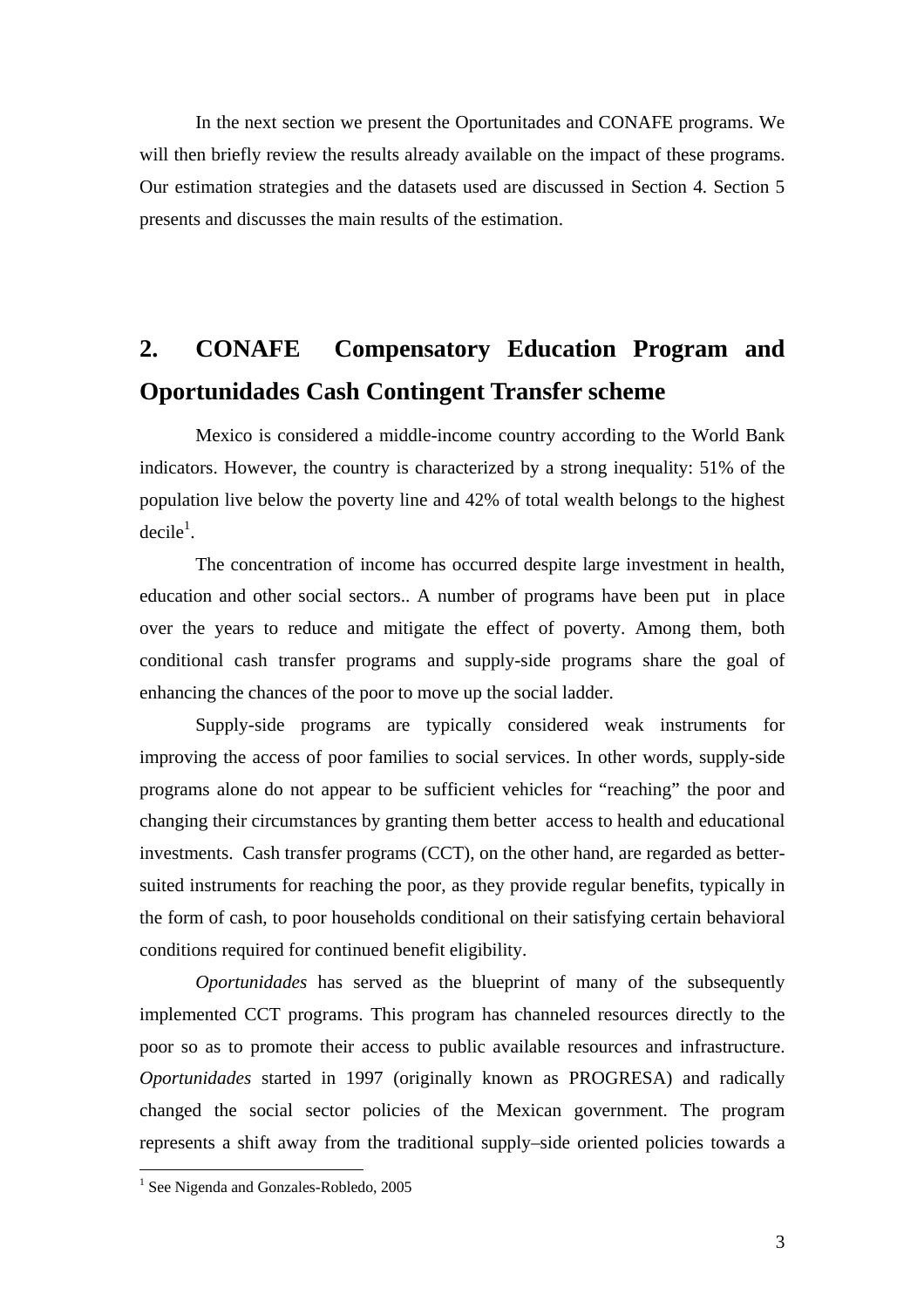In the next section we present the Oportunitades and CONAFE programs. We will then briefly review the results already available on the impact of these programs. Our estimation strategies and the datasets used are discussed in Section 4. Section 5 presents and discusses the main results of the estimation.

# **2. CONAFE Compensatory Education Program and Oportunidades Cash Contingent Transfer scheme**

Mexico is considered a middle-income country according to the World Bank indicators. However, the country is characterized by a strong inequality: 51% of the population live below the poverty line and 42% of total wealth belongs to the highest  $decile<sup>1</sup>$ .

The concentration of income has occurred despite large investment in health, education and other social sectors.. A number of programs have been put in place over the years to reduce and mitigate the effect of poverty. Among them, both conditional cash transfer programs and supply-side programs share the goal of enhancing the chances of the poor to move up the social ladder.

Supply-side programs are typically considered weak instruments for improving the access of poor families to social services. In other words, supply-side programs alone do not appear to be sufficient vehicles for "reaching" the poor and changing their circumstances by granting them better access to health and educational investments. Cash transfer programs (CCT), on the other hand, are regarded as bettersuited instruments for reaching the poor, as they provide regular benefits, typically in the form of cash, to poor households conditional on their satisfying certain behavioral conditions required for continued benefit eligibility.

*Oportunidades* has served as the blueprint of many of the subsequently implemented CCT programs. This program has channeled resources directly to the poor so as to promote their access to public available resources and infrastructure. *Oportunidades* started in 1997 (originally known as PROGRESA) and radically changed the social sector policies of the Mexican government. The program represents a shift away from the traditional supply–side oriented policies towards a

 1 See Nigenda and Gonzales-Robledo, 2005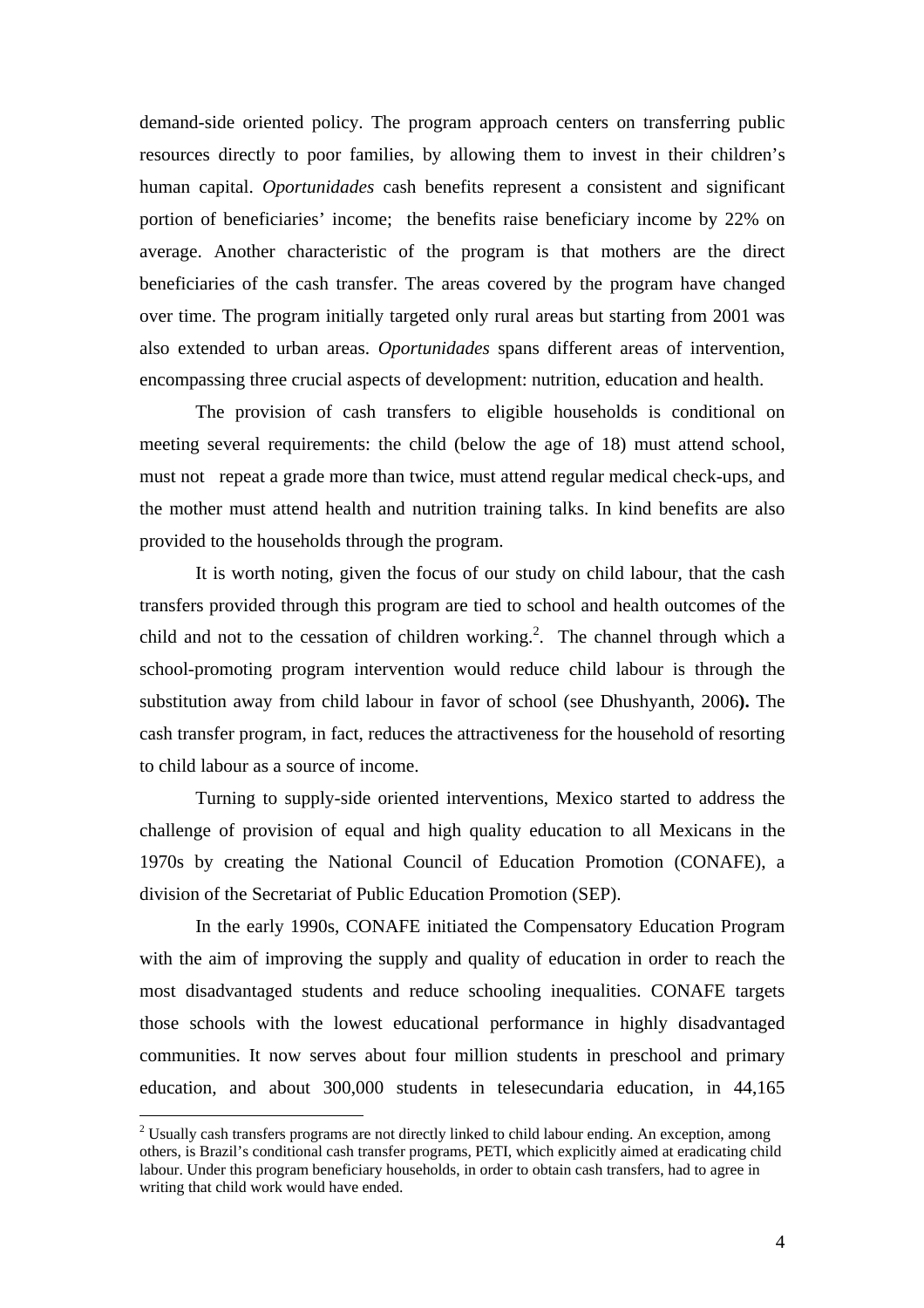demand-side oriented policy. The program approach centers on transferring public resources directly to poor families, by allowing them to invest in their children's human capital. *Oportunidades* cash benefits represent a consistent and significant portion of beneficiaries' income; the benefits raise beneficiary income by 22% on average. Another characteristic of the program is that mothers are the direct beneficiaries of the cash transfer. The areas covered by the program have changed over time. The program initially targeted only rural areas but starting from 2001 was also extended to urban areas. *Oportunidades* spans different areas of intervention, encompassing three crucial aspects of development: nutrition, education and health.

The provision of cash transfers to eligible households is conditional on meeting several requirements: the child (below the age of 18) must attend school, must not repeat a grade more than twice, must attend regular medical check-ups, and the mother must attend health and nutrition training talks. In kind benefits are also provided to the households through the program.

It is worth noting, given the focus of our study on child labour, that the cash transfers provided through this program are tied to school and health outcomes of the child and not to the cessation of children working.<sup>2</sup>. The channel through which a school-promoting program intervention would reduce child labour is through the substitution away from child labour in favor of school (see Dhushyanth, 2006**).** The cash transfer program, in fact, reduces the attractiveness for the household of resorting to child labour as a source of income.

Turning to supply-side oriented interventions, Mexico started to address the challenge of provision of equal and high quality education to all Mexicans in the 1970s by creating the National Council of Education Promotion (CONAFE), a division of the Secretariat of Public Education Promotion (SEP).

In the early 1990s, CONAFE initiated the Compensatory Education Program with the aim of improving the supply and quality of education in order to reach the most disadvantaged students and reduce schooling inequalities. CONAFE targets those schools with the lowest educational performance in highly disadvantaged communities. It now serves about four million students in preschool and primary education, and about 300,000 students in telesecundaria education, in 44,165

 $\overline{a}$ 

 $2$  Usually cash transfers programs are not directly linked to child labour ending. An exception, among others, is Brazil's conditional cash transfer programs, PETI, which explicitly aimed at eradicating child labour. Under this program beneficiary households, in order to obtain cash transfers, had to agree in writing that child work would have ended.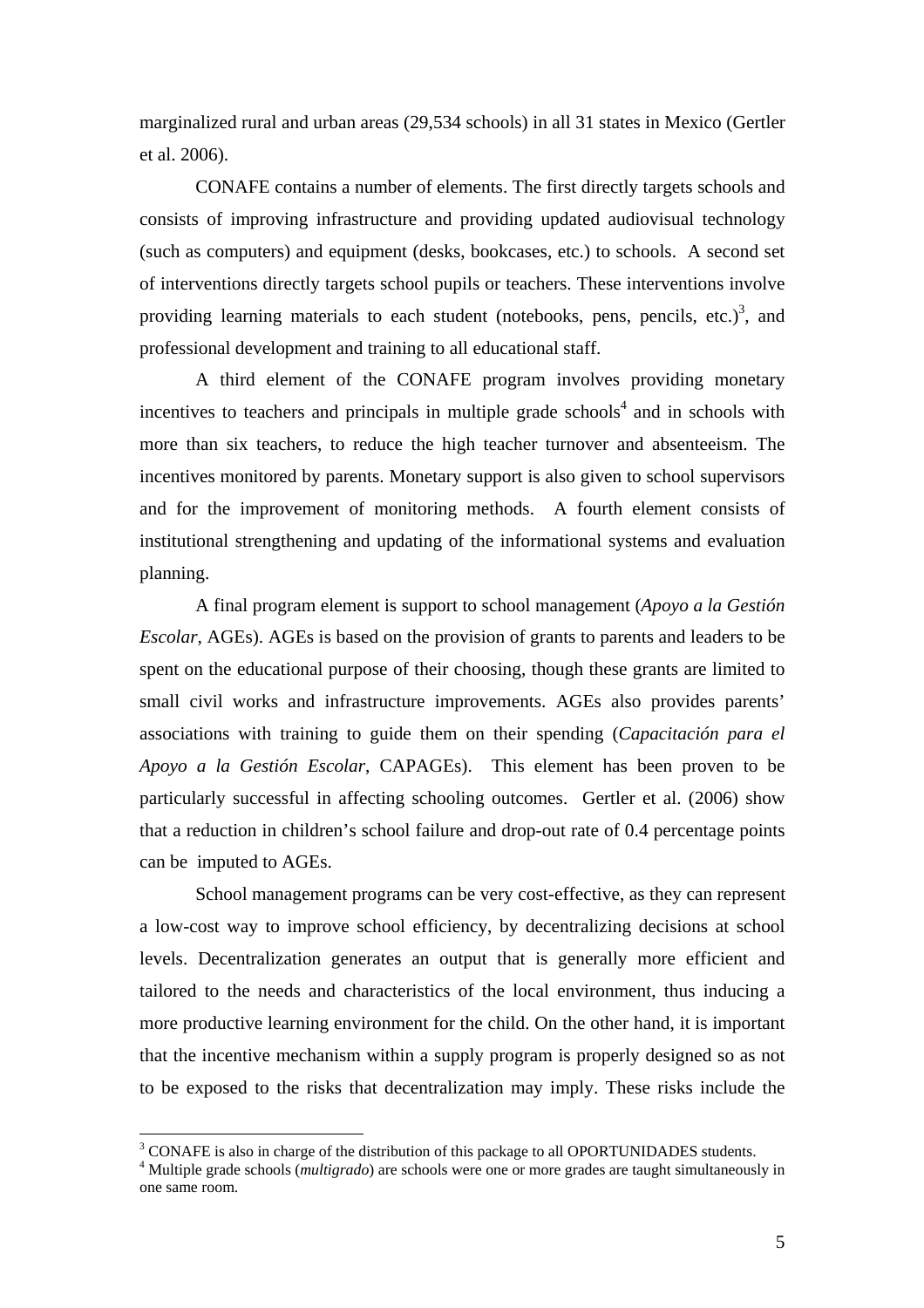marginalized rural and urban areas (29,534 schools) in all 31 states in Mexico (Gertler et al. 2006).

CONAFE contains a number of elements. The first directly targets schools and consists of improving infrastructure and providing updated audiovisual technology (such as computers) and equipment (desks, bookcases, etc.) to schools. A second set of interventions directly targets school pupils or teachers. These interventions involve providing learning materials to each student (notebooks, pens, pencils, etc.) $3$ , and professional development and training to all educational staff.

A third element of the CONAFE program involves providing monetary incentives to teachers and principals in multiple grade schools<sup>4</sup> and in schools with more than six teachers, to reduce the high teacher turnover and absenteeism. The incentives monitored by parents. Monetary support is also given to school supervisors and for the improvement of monitoring methods. A fourth element consists of institutional strengthening and updating of the informational systems and evaluation planning.

A final program element is support to school management (*Apoyo a la Gestión Escolar*, AGEs). AGEs is based on the provision of grants to parents and leaders to be spent on the educational purpose of their choosing, though these grants are limited to small civil works and infrastructure improvements. AGEs also provides parents' associations with training to guide them on their spending (*Capacitación para el Apoyo a la Gestión Escolar*, CAPAGEs). This element has been proven to be particularly successful in affecting schooling outcomes. Gertler et al. (2006) show that a reduction in children's school failure and drop-out rate of 0.4 percentage points can be imputed to AGEs.

School management programs can be very cost-effective, as they can represent a low-cost way to improve school efficiency, by decentralizing decisions at school levels. Decentralization generates an output that is generally more efficient and tailored to the needs and characteristics of the local environment, thus inducing a more productive learning environment for the child. On the other hand, it is important that the incentive mechanism within a supply program is properly designed so as not to be exposed to the risks that decentralization may imply. These risks include the

 $\overline{a}$ 

 $3$  CONAFE is also in charge of the distribution of this package to all OPORTUNIDADES students.

<sup>4</sup> Multiple grade schools (*multigrado*) are schools were one or more grades are taught simultaneously in one same room.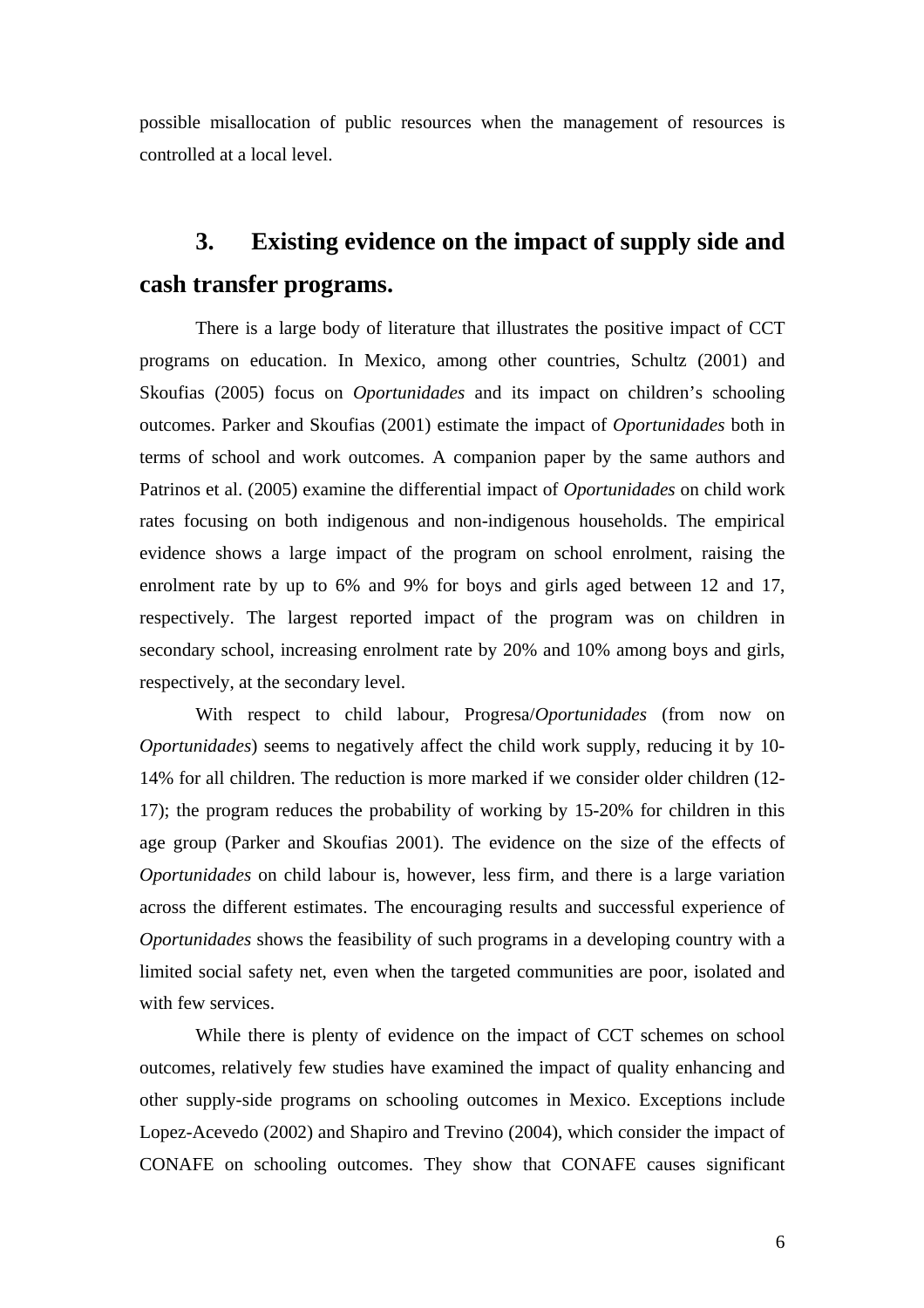possible misallocation of public resources when the management of resources is controlled at a local level.

# **3. Existing evidence on the impact of supply side and cash transfer programs.**

There is a large body of literature that illustrates the positive impact of CCT programs on education. In Mexico, among other countries, Schultz (2001) and Skoufias (2005) focus on *Oportunidades* and its impact on children's schooling outcomes. Parker and Skoufias (2001) estimate the impact of *Oportunidades* both in terms of school and work outcomes. A companion paper by the same authors and Patrinos et al. (2005) examine the differential impact of *Oportunidades* on child work rates focusing on both indigenous and non-indigenous households. The empirical evidence shows a large impact of the program on school enrolment, raising the enrolment rate by up to 6% and 9% for boys and girls aged between 12 and 17, respectively. The largest reported impact of the program was on children in secondary school, increasing enrolment rate by 20% and 10% among boys and girls, respectively, at the secondary level.

With respect to child labour, Progresa/*Oportunidades* (from now on *Oportunidades*) seems to negatively affect the child work supply, reducing it by 10- 14% for all children. The reduction is more marked if we consider older children (12- 17); the program reduces the probability of working by 15-20% for children in this age group (Parker and Skoufias 2001). The evidence on the size of the effects of *Oportunidades* on child labour is, however, less firm, and there is a large variation across the different estimates. The encouraging results and successful experience of *Oportunidades* shows the feasibility of such programs in a developing country with a limited social safety net, even when the targeted communities are poor, isolated and with few services.

While there is plenty of evidence on the impact of CCT schemes on school outcomes, relatively few studies have examined the impact of quality enhancing and other supply-side programs on schooling outcomes in Mexico. Exceptions include Lopez-Acevedo (2002) and Shapiro and Trevino (2004), which consider the impact of CONAFE on schooling outcomes. They show that CONAFE causes significant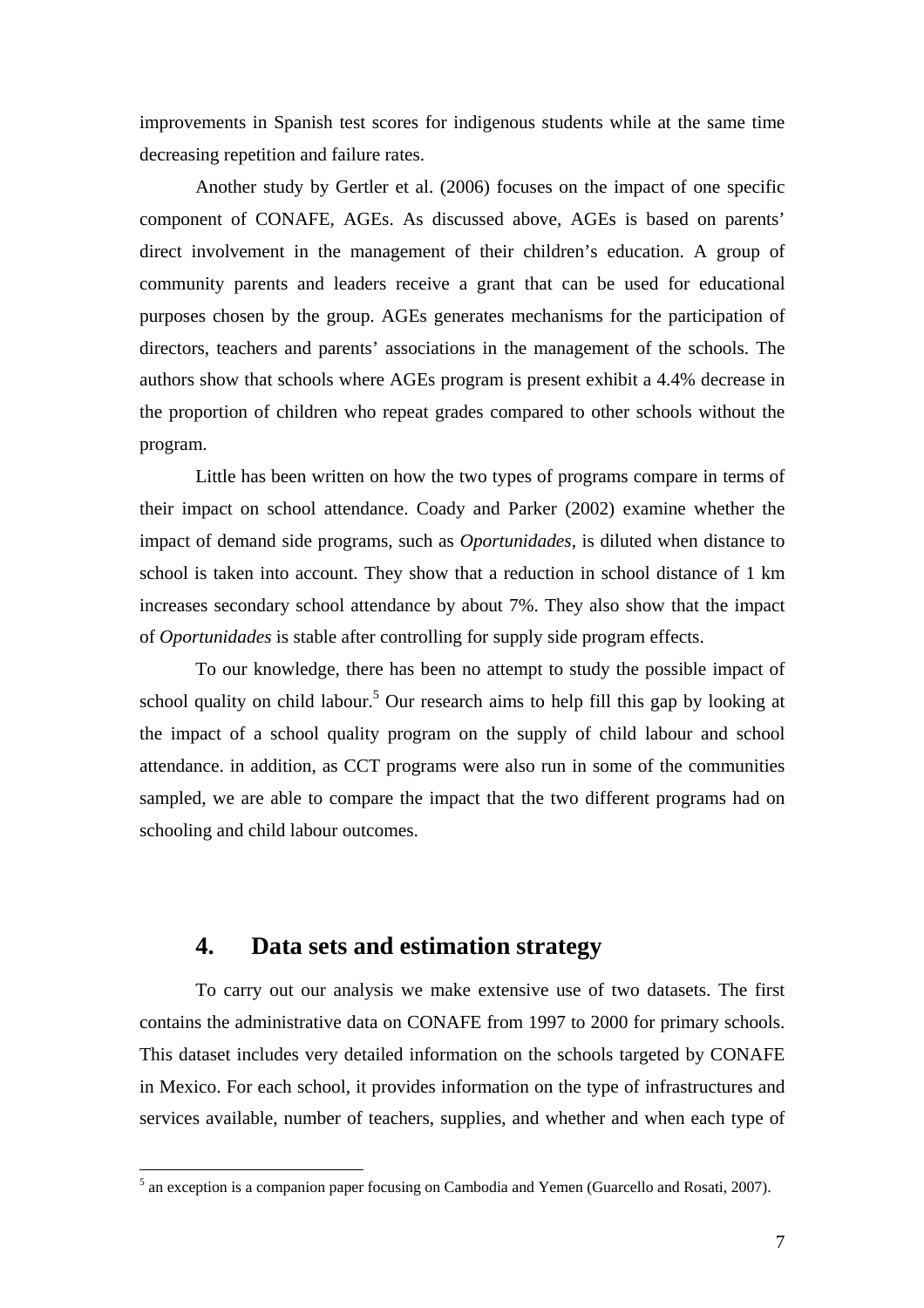improvements in Spanish test scores for indigenous students while at the same time decreasing repetition and failure rates.

Another study by Gertler et al. (2006) focuses on the impact of one specific component of CONAFE, AGEs. As discussed above, AGEs is based on parents' direct involvement in the management of their children's education. A group of community parents and leaders receive a grant that can be used for educational purposes chosen by the group. AGEs generates mechanisms for the participation of directors, teachers and parents' associations in the management of the schools. The authors show that schools where AGEs program is present exhibit a 4.4% decrease in the proportion of children who repeat grades compared to other schools without the program.

Little has been written on how the two types of programs compare in terms of their impact on school attendance. Coady and Parker (2002) examine whether the impact of demand side programs, such as *Oportunidades*, is diluted when distance to school is taken into account. They show that a reduction in school distance of 1 km increases secondary school attendance by about 7%. They also show that the impact of *Oportunidades* is stable after controlling for supply side program effects.

To our knowledge, there has been no attempt to study the possible impact of school quality on child labour.<sup>5</sup> Our research aims to help fill this gap by looking at the impact of a school quality program on the supply of child labour and school attendance. in addition, as CCT programs were also run in some of the communities sampled, we are able to compare the impact that the two different programs had on schooling and child labour outcomes.

## **4. Data sets and estimation strategy**

To carry out our analysis we make extensive use of two datasets. The first contains the administrative data on CONAFE from 1997 to 2000 for primary schools. This dataset includes very detailed information on the schools targeted by CONAFE in Mexico. For each school, it provides information on the type of infrastructures and services available, number of teachers, supplies, and whether and when each type of

<sup>&</sup>lt;sup>5</sup> an exception is a companion paper focusing on Cambodia and Yemen (Guarcello and Rosati, 2007).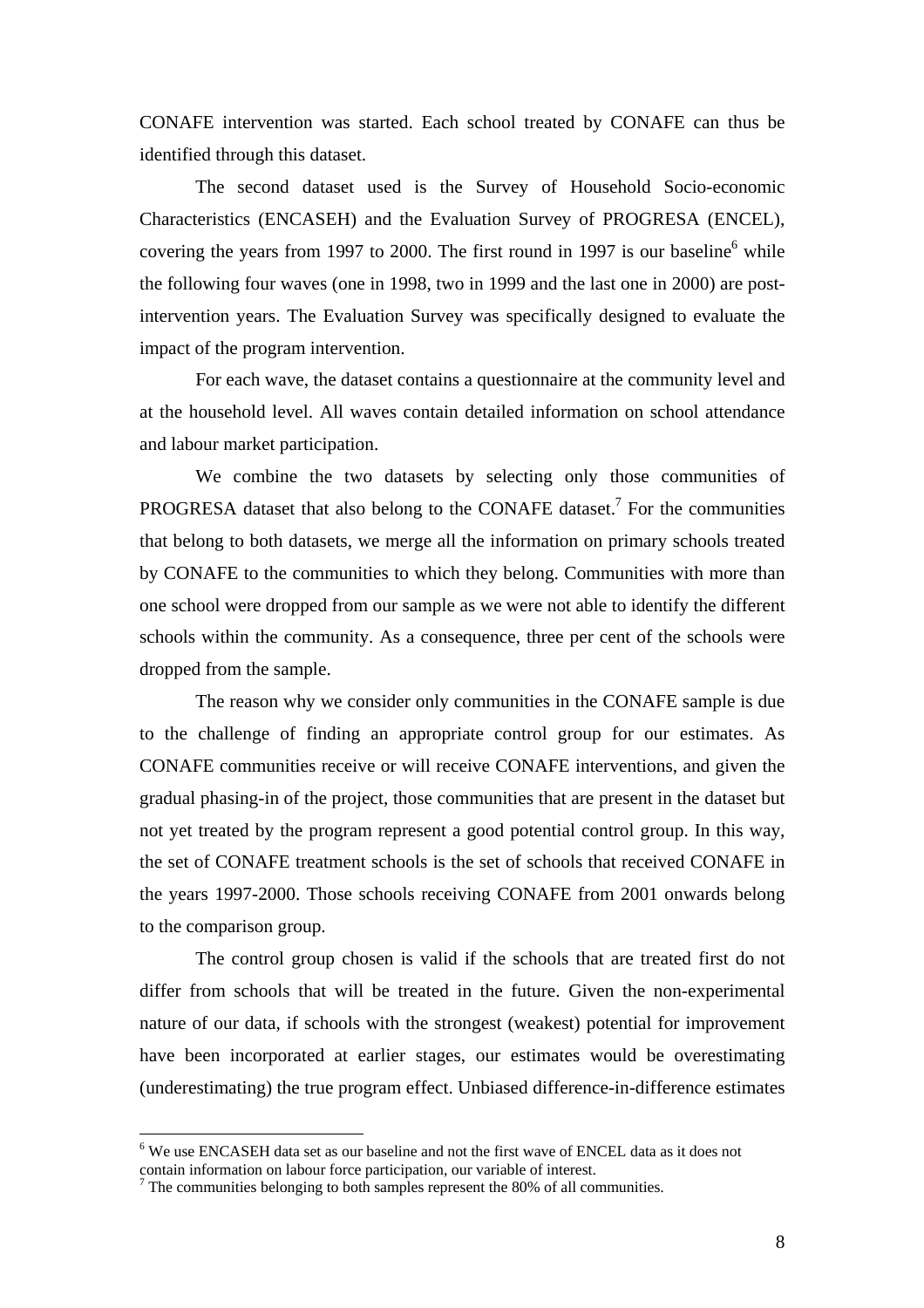CONAFE intervention was started. Each school treated by CONAFE can thus be identified through this dataset.

The second dataset used is the Survey of Household Socio-economic Characteristics (ENCASEH) and the Evaluation Survey of PROGRESA (ENCEL), covering the years from 1997 to 2000. The first round in 1997 is our baseline $^6$  while the following four waves (one in 1998, two in 1999 and the last one in 2000) are postintervention years. The Evaluation Survey was specifically designed to evaluate the impact of the program intervention.

For each wave, the dataset contains a questionnaire at the community level and at the household level. All waves contain detailed information on school attendance and labour market participation.

We combine the two datasets by selecting only those communities of PROGRESA dataset that also belong to the CONAFE dataset.<sup>7</sup> For the communities that belong to both datasets, we merge all the information on primary schools treated by CONAFE to the communities to which they belong. Communities with more than one school were dropped from our sample as we were not able to identify the different schools within the community. As a consequence, three per cent of the schools were dropped from the sample.

The reason why we consider only communities in the CONAFE sample is due to the challenge of finding an appropriate control group for our estimates. As CONAFE communities receive or will receive CONAFE interventions, and given the gradual phasing-in of the project, those communities that are present in the dataset but not yet treated by the program represent a good potential control group. In this way, the set of CONAFE treatment schools is the set of schools that received CONAFE in the years 1997-2000. Those schools receiving CONAFE from 2001 onwards belong to the comparison group.

The control group chosen is valid if the schools that are treated first do not differ from schools that will be treated in the future. Given the non-experimental nature of our data, if schools with the strongest (weakest) potential for improvement have been incorporated at earlier stages, our estimates would be overestimating (underestimating) the true program effect. Unbiased difference-in-difference estimates

 $\overline{a}$ 

<sup>&</sup>lt;sup>6</sup> We use ENCASEH data set as our baseline and not the first wave of ENCEL data as it does not contain information on labour force participation, our variable of interest.

 $7$  The communities belonging to both samples represent the 80% of all communities.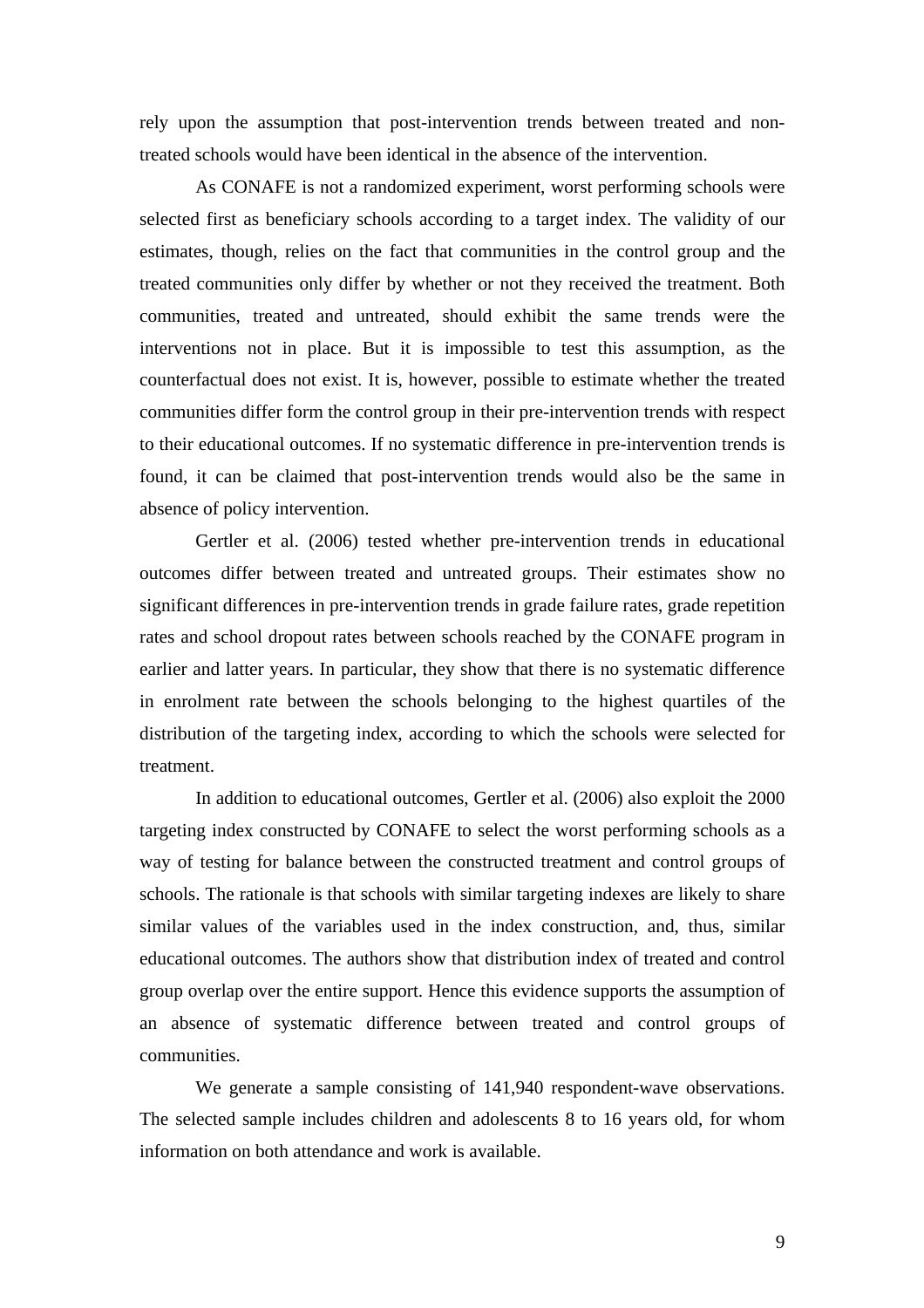rely upon the assumption that post-intervention trends between treated and nontreated schools would have been identical in the absence of the intervention.

As CONAFE is not a randomized experiment, worst performing schools were selected first as beneficiary schools according to a target index. The validity of our estimates, though, relies on the fact that communities in the control group and the treated communities only differ by whether or not they received the treatment. Both communities, treated and untreated, should exhibit the same trends were the interventions not in place. But it is impossible to test this assumption, as the counterfactual does not exist. It is, however, possible to estimate whether the treated communities differ form the control group in their pre-intervention trends with respect to their educational outcomes. If no systematic difference in pre-intervention trends is found, it can be claimed that post-intervention trends would also be the same in absence of policy intervention.

Gertler et al. (2006) tested whether pre-intervention trends in educational outcomes differ between treated and untreated groups. Their estimates show no significant differences in pre-intervention trends in grade failure rates, grade repetition rates and school dropout rates between schools reached by the CONAFE program in earlier and latter years. In particular, they show that there is no systematic difference in enrolment rate between the schools belonging to the highest quartiles of the distribution of the targeting index, according to which the schools were selected for treatment.

In addition to educational outcomes, Gertler et al. (2006) also exploit the 2000 targeting index constructed by CONAFE to select the worst performing schools as a way of testing for balance between the constructed treatment and control groups of schools. The rationale is that schools with similar targeting indexes are likely to share similar values of the variables used in the index construction, and, thus, similar educational outcomes. The authors show that distribution index of treated and control group overlap over the entire support. Hence this evidence supports the assumption of an absence of systematic difference between treated and control groups of communities.

 We generate a sample consisting of 141,940 respondent-wave observations. The selected sample includes children and adolescents 8 to 16 years old, for whom information on both attendance and work is available.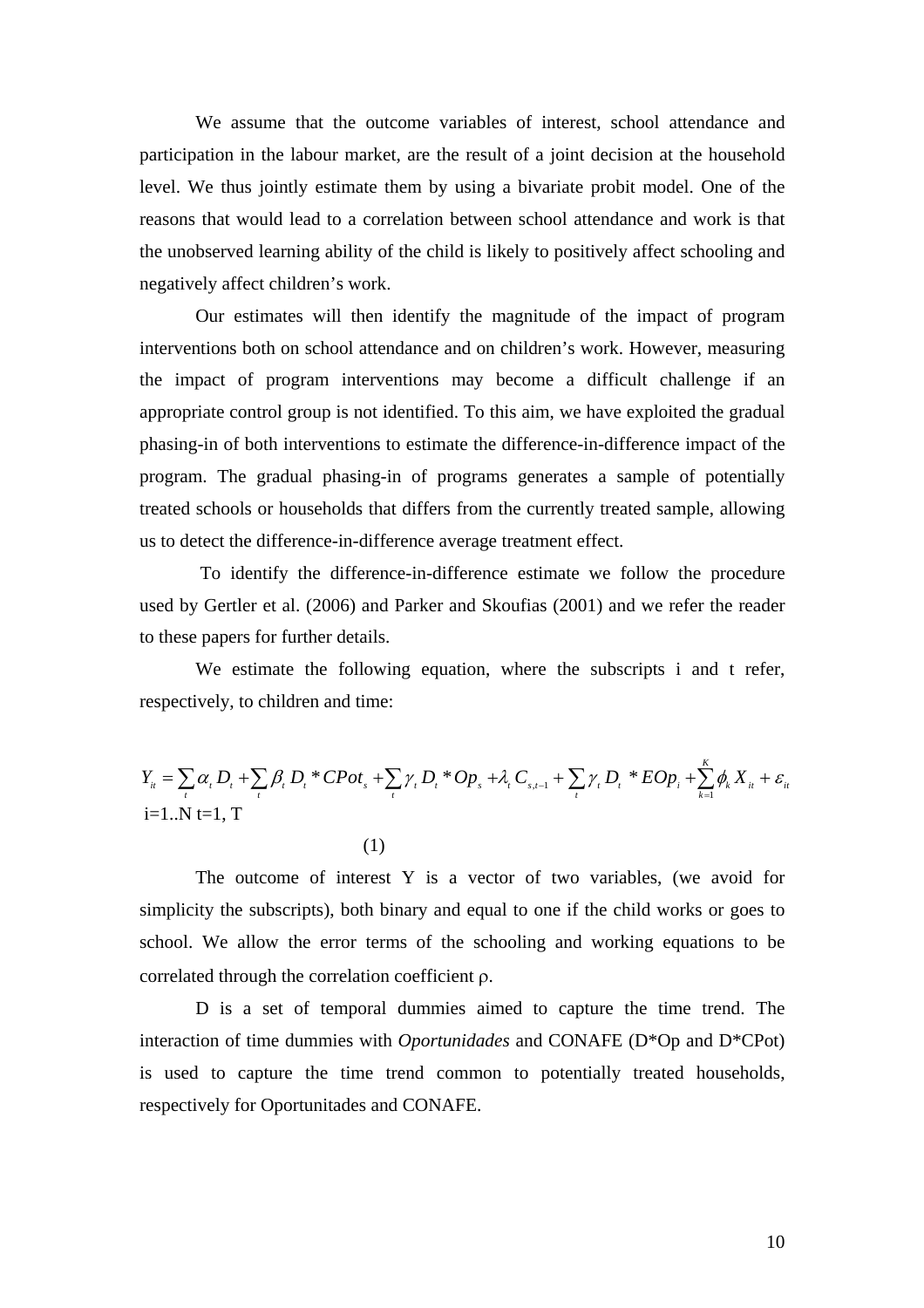We assume that the outcome variables of interest, school attendance and participation in the labour market, are the result of a joint decision at the household level. We thus jointly estimate them by using a bivariate probit model. One of the reasons that would lead to a correlation between school attendance and work is that the unobserved learning ability of the child is likely to positively affect schooling and negatively affect children's work.

Our estimates will then identify the magnitude of the impact of program interventions both on school attendance and on children's work. However, measuring the impact of program interventions may become a difficult challenge if an appropriate control group is not identified. To this aim, we have exploited the gradual phasing-in of both interventions to estimate the difference-in-difference impact of the program. The gradual phasing-in of programs generates a sample of potentially treated schools or households that differs from the currently treated sample, allowing us to detect the difference-in-difference average treatment effect.

 To identify the difference-in-difference estimate we follow the procedure used by Gertler et al. (2006) and Parker and Skoufias (2001) and we refer the reader to these papers for further details.

We estimate the following equation, where the subscripts i and t refer, respectively, to children and time:

$$
Y_{i} = \sum_{i} \alpha_{i} D_{i} + \sum_{i} \beta_{i} D_{i} * CPot_{s} + \sum_{i} \gamma_{i} D_{i} * Op_{s} + \lambda_{i} C_{s,t-1} + \sum_{i} \gamma_{i} D_{i} * EOp_{i} + \sum_{k=1}^{K} \phi_{k} X_{it} + \varepsilon_{it}
$$
  
i=1..N t=1, T

(1)

The outcome of interest Y is a vector of two variables, (we avoid for simplicity the subscripts), both binary and equal to one if the child works or goes to school. We allow the error terms of the schooling and working equations to be correlated through the correlation coefficient ρ.

D is a set of temporal dummies aimed to capture the time trend. The interaction of time dummies with *Oportunidades* and CONAFE (D\*Op and D\*CPot) is used to capture the time trend common to potentially treated households, respectively for Oportunitades and CONAFE.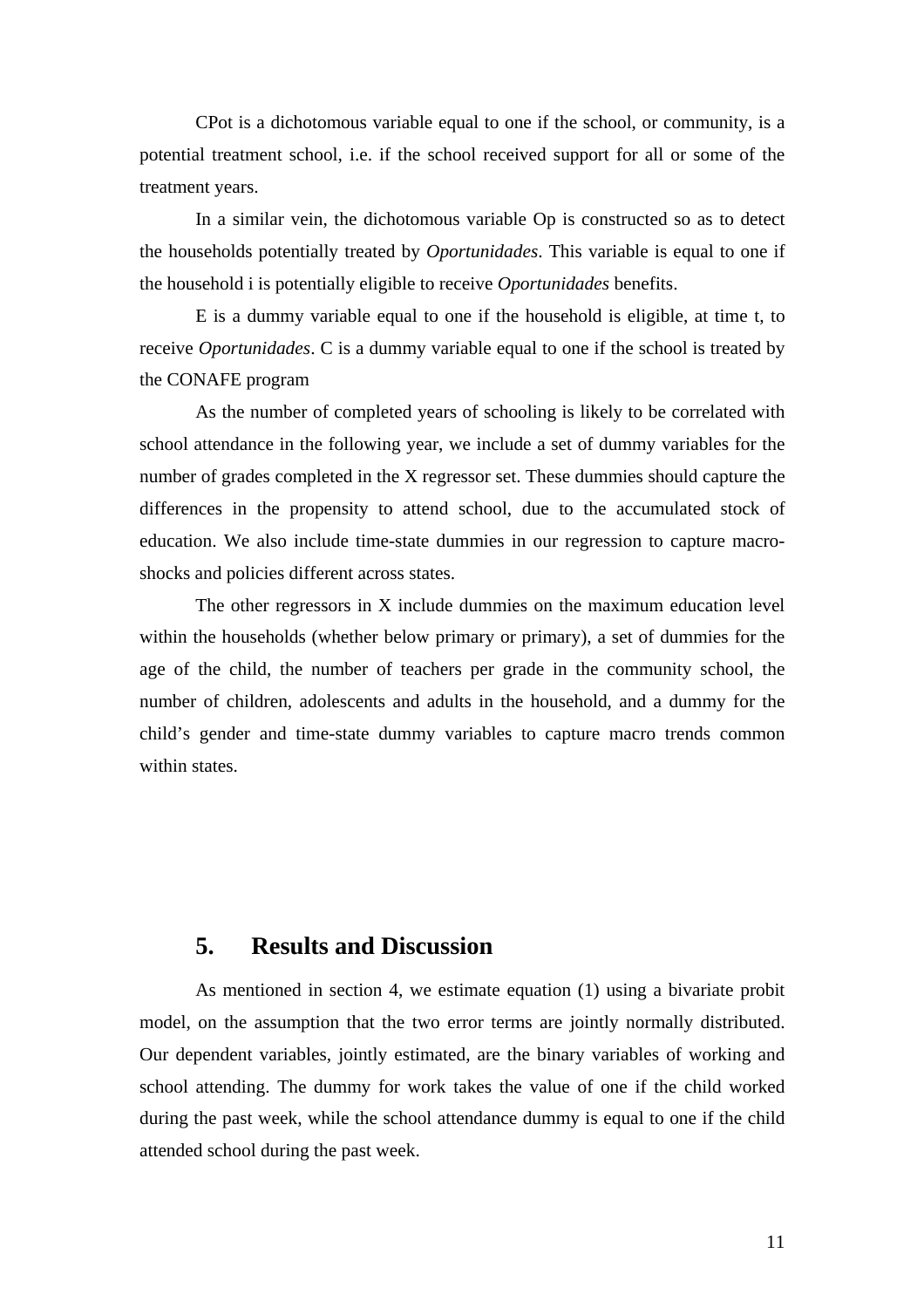CPot is a dichotomous variable equal to one if the school, or community, is a potential treatment school, i.e. if the school received support for all or some of the treatment years.

In a similar vein, the dichotomous variable Op is constructed so as to detect the households potentially treated by *Oportunidades*. This variable is equal to one if the household i is potentially eligible to receive *Oportunidades* benefits.

E is a dummy variable equal to one if the household is eligible, at time t, to receive *Oportunidades*. C is a dummy variable equal to one if the school is treated by the CONAFE program

As the number of completed years of schooling is likely to be correlated with school attendance in the following year, we include a set of dummy variables for the number of grades completed in the X regressor set. These dummies should capture the differences in the propensity to attend school, due to the accumulated stock of education. We also include time-state dummies in our regression to capture macroshocks and policies different across states.

The other regressors in X include dummies on the maximum education level within the households (whether below primary or primary), a set of dummies for the age of the child, the number of teachers per grade in the community school, the number of children, adolescents and adults in the household, and a dummy for the child's gender and time-state dummy variables to capture macro trends common within states.

## **5. Results and Discussion**

As mentioned in section 4, we estimate equation (1) using a bivariate probit model, on the assumption that the two error terms are jointly normally distributed. Our dependent variables, jointly estimated, are the binary variables of working and school attending. The dummy for work takes the value of one if the child worked during the past week, while the school attendance dummy is equal to one if the child attended school during the past week.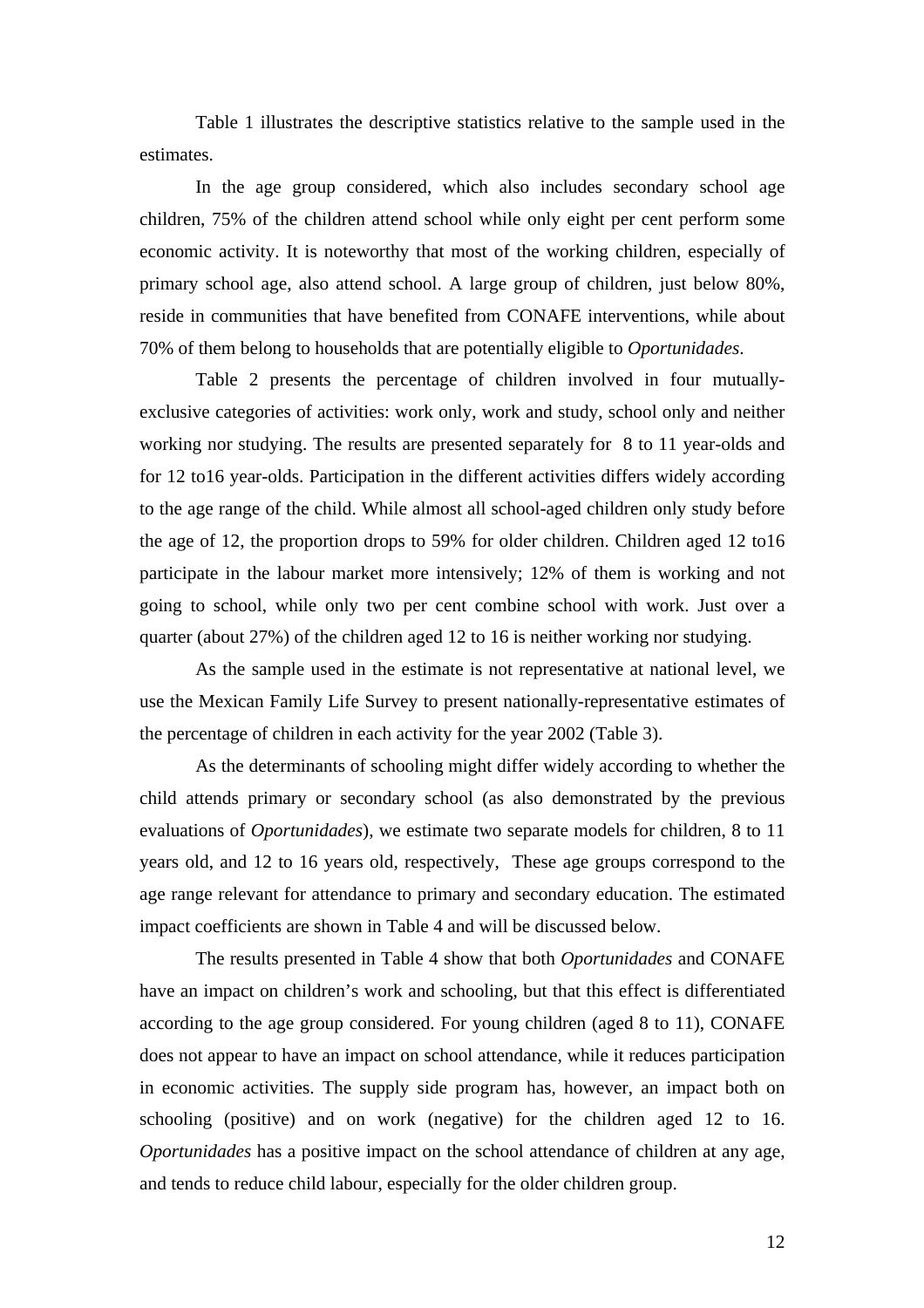Table 1 illustrates the descriptive statistics relative to the sample used in the estimates.

In the age group considered, which also includes secondary school age children, 75% of the children attend school while only eight per cent perform some economic activity. It is noteworthy that most of the working children, especially of primary school age, also attend school. A large group of children, just below 80%, reside in communities that have benefited from CONAFE interventions, while about 70% of them belong to households that are potentially eligible to *Oportunidades*.

 Table 2 presents the percentage of children involved in four mutuallyexclusive categories of activities: work only, work and study, school only and neither working nor studying. The results are presented separately for 8 to 11 year-olds and for 12 to16 year-olds. Participation in the different activities differs widely according to the age range of the child. While almost all school-aged children only study before the age of 12, the proportion drops to 59% for older children. Children aged 12 to16 participate in the labour market more intensively; 12% of them is working and not going to school, while only two per cent combine school with work. Just over a quarter (about 27%) of the children aged 12 to 16 is neither working nor studying.

As the sample used in the estimate is not representative at national level, we use the Mexican Family Life Survey to present nationally-representative estimates of the percentage of children in each activity for the year 2002 (Table 3).

As the determinants of schooling might differ widely according to whether the child attends primary or secondary school (as also demonstrated by the previous evaluations of *Oportunidades*), we estimate two separate models for children, 8 to 11 years old, and 12 to 16 years old, respectively, These age groups correspond to the age range relevant for attendance to primary and secondary education. The estimated impact coefficients are shown in Table 4 and will be discussed below.

The results presented in Table 4 show that both *Oportunidades* and CONAFE have an impact on children's work and schooling, but that this effect is differentiated according to the age group considered. For young children (aged 8 to 11), CONAFE does not appear to have an impact on school attendance, while it reduces participation in economic activities. The supply side program has, however, an impact both on schooling (positive) and on work (negative) for the children aged 12 to 16. *Oportunidades* has a positive impact on the school attendance of children at any age, and tends to reduce child labour, especially for the older children group.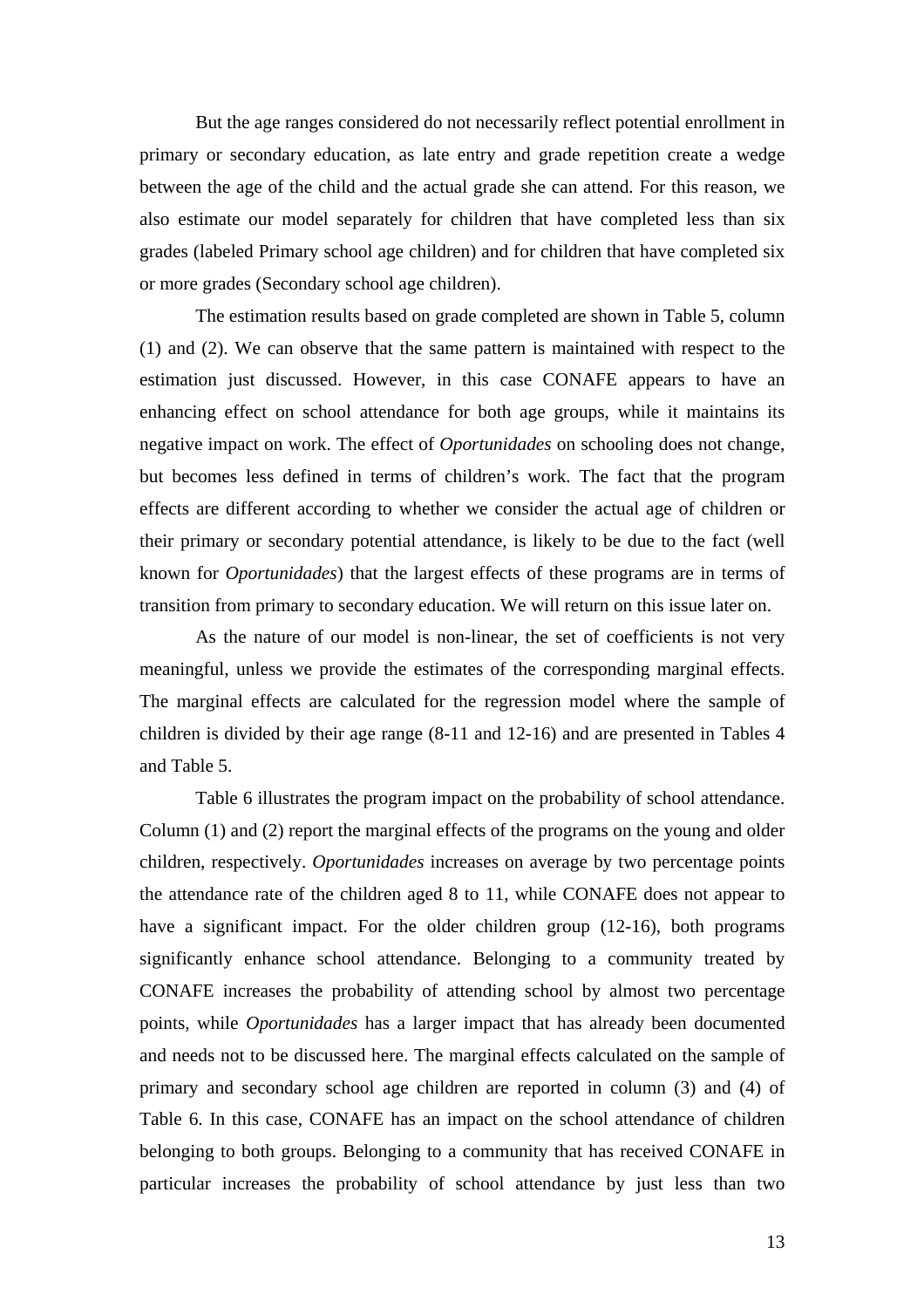But the age ranges considered do not necessarily reflect potential enrollment in primary or secondary education, as late entry and grade repetition create a wedge between the age of the child and the actual grade she can attend. For this reason, we also estimate our model separately for children that have completed less than six grades (labeled Primary school age children) and for children that have completed six or more grades (Secondary school age children).

The estimation results based on grade completed are shown in Table 5, column (1) and (2). We can observe that the same pattern is maintained with respect to the estimation just discussed. However, in this case CONAFE appears to have an enhancing effect on school attendance for both age groups, while it maintains its negative impact on work. The effect of *Oportunidades* on schooling does not change, but becomes less defined in terms of children's work. The fact that the program effects are different according to whether we consider the actual age of children or their primary or secondary potential attendance, is likely to be due to the fact (well known for *Oportunidades*) that the largest effects of these programs are in terms of transition from primary to secondary education. We will return on this issue later on.

As the nature of our model is non-linear, the set of coefficients is not very meaningful, unless we provide the estimates of the corresponding marginal effects. The marginal effects are calculated for the regression model where the sample of children is divided by their age range (8-11 and 12-16) and are presented in Tables 4 and Table 5.

Table 6 illustrates the program impact on the probability of school attendance. Column (1) and (2) report the marginal effects of the programs on the young and older children, respectively. *Oportunidades* increases on average by two percentage points the attendance rate of the children aged 8 to 11, while CONAFE does not appear to have a significant impact. For the older children group (12-16), both programs significantly enhance school attendance. Belonging to a community treated by CONAFE increases the probability of attending school by almost two percentage points, while *Oportunidades* has a larger impact that has already been documented and needs not to be discussed here. The marginal effects calculated on the sample of primary and secondary school age children are reported in column (3) and (4) of Table 6. In this case, CONAFE has an impact on the school attendance of children belonging to both groups. Belonging to a community that has received CONAFE in particular increases the probability of school attendance by just less than two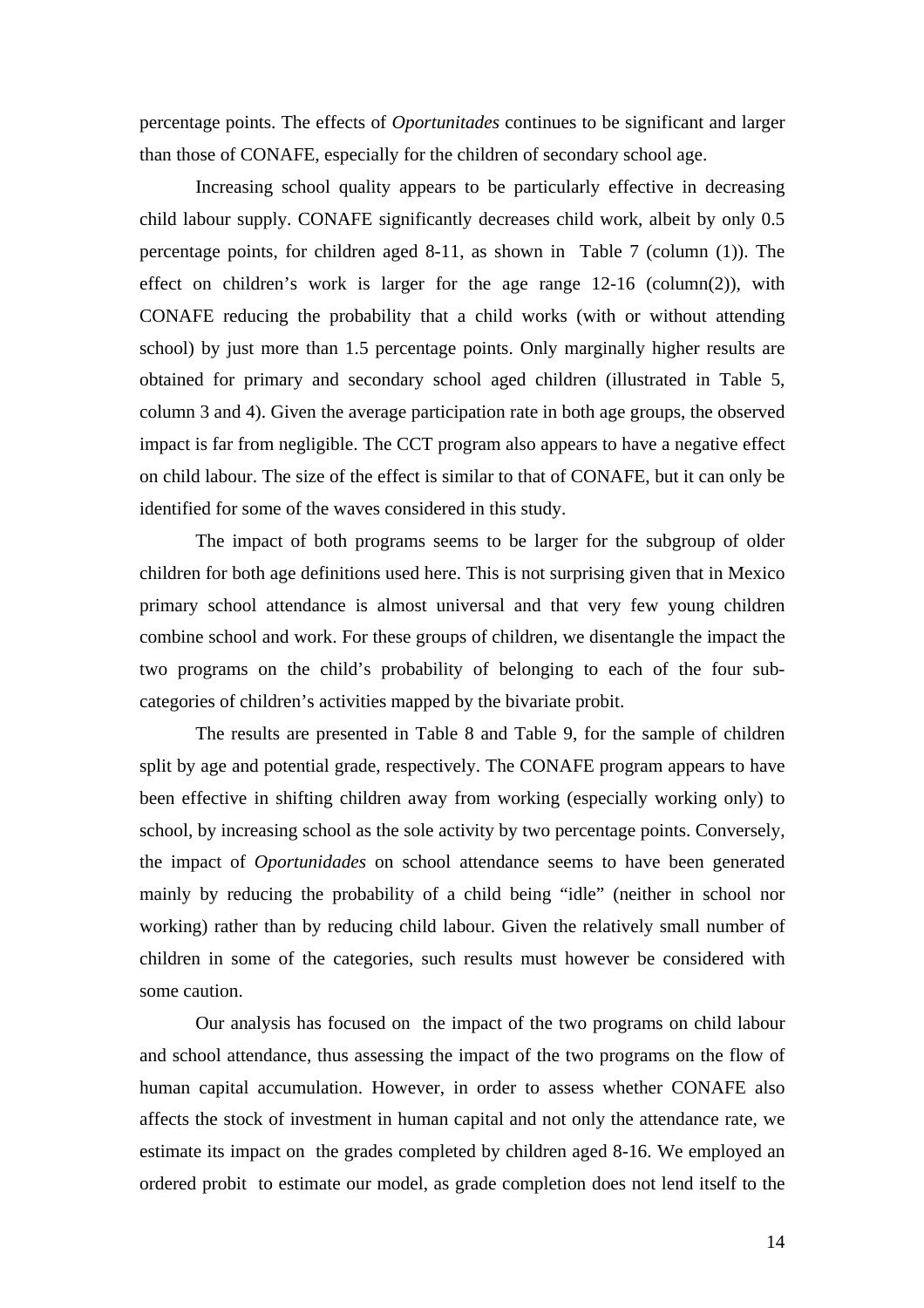percentage points. The effects of *Oportunitades* continues to be significant and larger than those of CONAFE, especially for the children of secondary school age.

Increasing school quality appears to be particularly effective in decreasing child labour supply. CONAFE significantly decreases child work, albeit by only 0.5 percentage points, for children aged 8-11, as shown in Table 7 (column (1)). The effect on children's work is larger for the age range  $12{\text -}16$  (column(2)), with CONAFE reducing the probability that a child works (with or without attending school) by just more than 1.5 percentage points. Only marginally higher results are obtained for primary and secondary school aged children (illustrated in Table 5, column 3 and 4). Given the average participation rate in both age groups, the observed impact is far from negligible. The CCT program also appears to have a negative effect on child labour. The size of the effect is similar to that of CONAFE, but it can only be identified for some of the waves considered in this study.

The impact of both programs seems to be larger for the subgroup of older children for both age definitions used here. This is not surprising given that in Mexico primary school attendance is almost universal and that very few young children combine school and work. For these groups of children, we disentangle the impact the two programs on the child's probability of belonging to each of the four subcategories of children's activities mapped by the bivariate probit.

The results are presented in Table 8 and Table 9, for the sample of children split by age and potential grade, respectively. The CONAFE program appears to have been effective in shifting children away from working (especially working only) to school, by increasing school as the sole activity by two percentage points. Conversely, the impact of *Oportunidades* on school attendance seems to have been generated mainly by reducing the probability of a child being "idle" (neither in school nor working) rather than by reducing child labour. Given the relatively small number of children in some of the categories, such results must however be considered with some caution.

Our analysis has focused on the impact of the two programs on child labour and school attendance, thus assessing the impact of the two programs on the flow of human capital accumulation. However, in order to assess whether CONAFE also affects the stock of investment in human capital and not only the attendance rate, we estimate its impact on the grades completed by children aged 8-16. We employed an ordered probit to estimate our model, as grade completion does not lend itself to the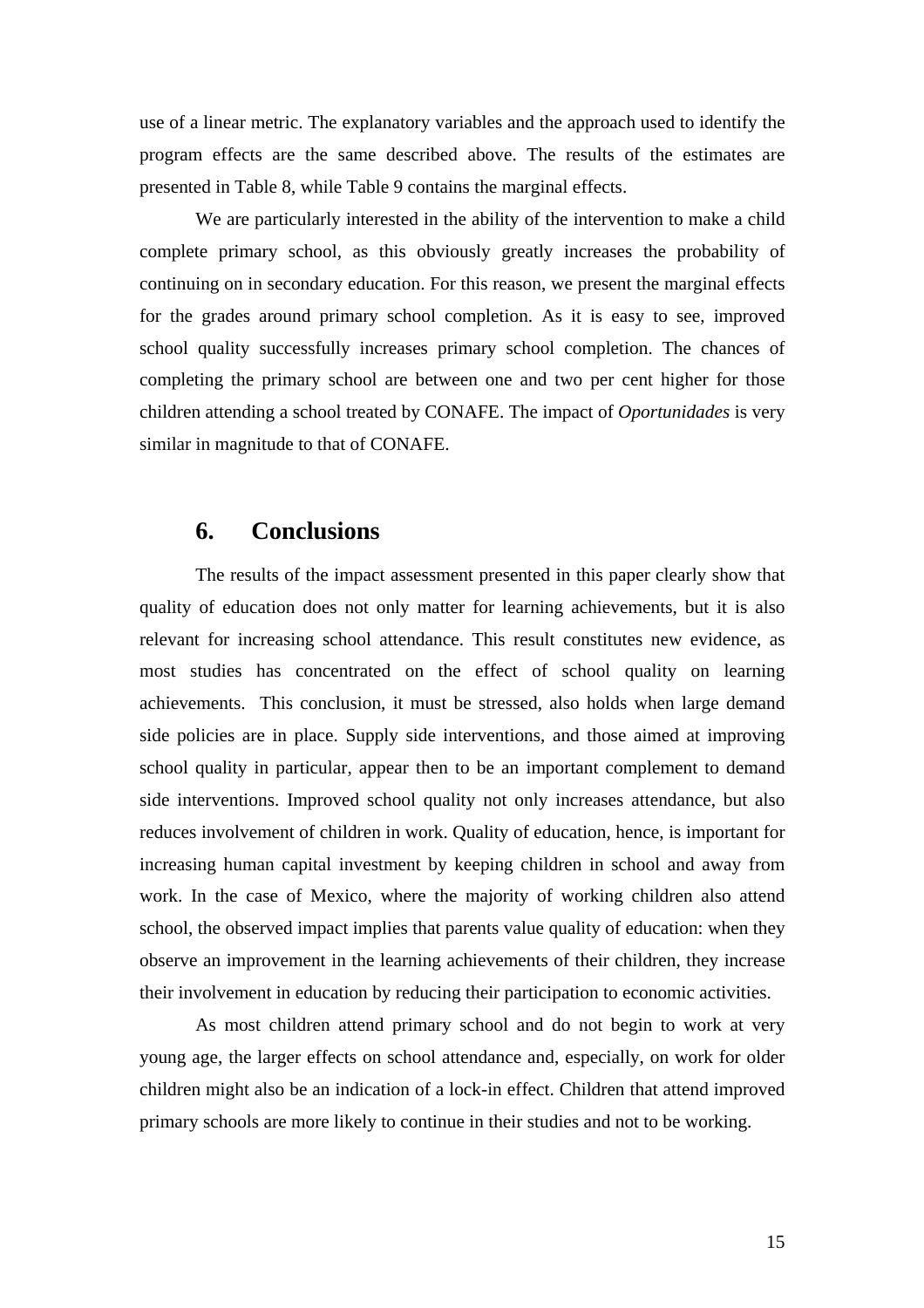use of a linear metric. The explanatory variables and the approach used to identify the program effects are the same described above. The results of the estimates are presented in Table 8, while Table 9 contains the marginal effects.

We are particularly interested in the ability of the intervention to make a child complete primary school, as this obviously greatly increases the probability of continuing on in secondary education. For this reason, we present the marginal effects for the grades around primary school completion. As it is easy to see, improved school quality successfully increases primary school completion. The chances of completing the primary school are between one and two per cent higher for those children attending a school treated by CONAFE. The impact of *Oportunidades* is very similar in magnitude to that of CONAFE.

#### **6. Conclusions**

The results of the impact assessment presented in this paper clearly show that quality of education does not only matter for learning achievements, but it is also relevant for increasing school attendance. This result constitutes new evidence, as most studies has concentrated on the effect of school quality on learning achievements. This conclusion, it must be stressed, also holds when large demand side policies are in place. Supply side interventions, and those aimed at improving school quality in particular, appear then to be an important complement to demand side interventions. Improved school quality not only increases attendance, but also reduces involvement of children in work. Quality of education, hence, is important for increasing human capital investment by keeping children in school and away from work. In the case of Mexico, where the majority of working children also attend school, the observed impact implies that parents value quality of education: when they observe an improvement in the learning achievements of their children, they increase their involvement in education by reducing their participation to economic activities.

As most children attend primary school and do not begin to work at very young age, the larger effects on school attendance and, especially, on work for older children might also be an indication of a lock-in effect. Children that attend improved primary schools are more likely to continue in their studies and not to be working.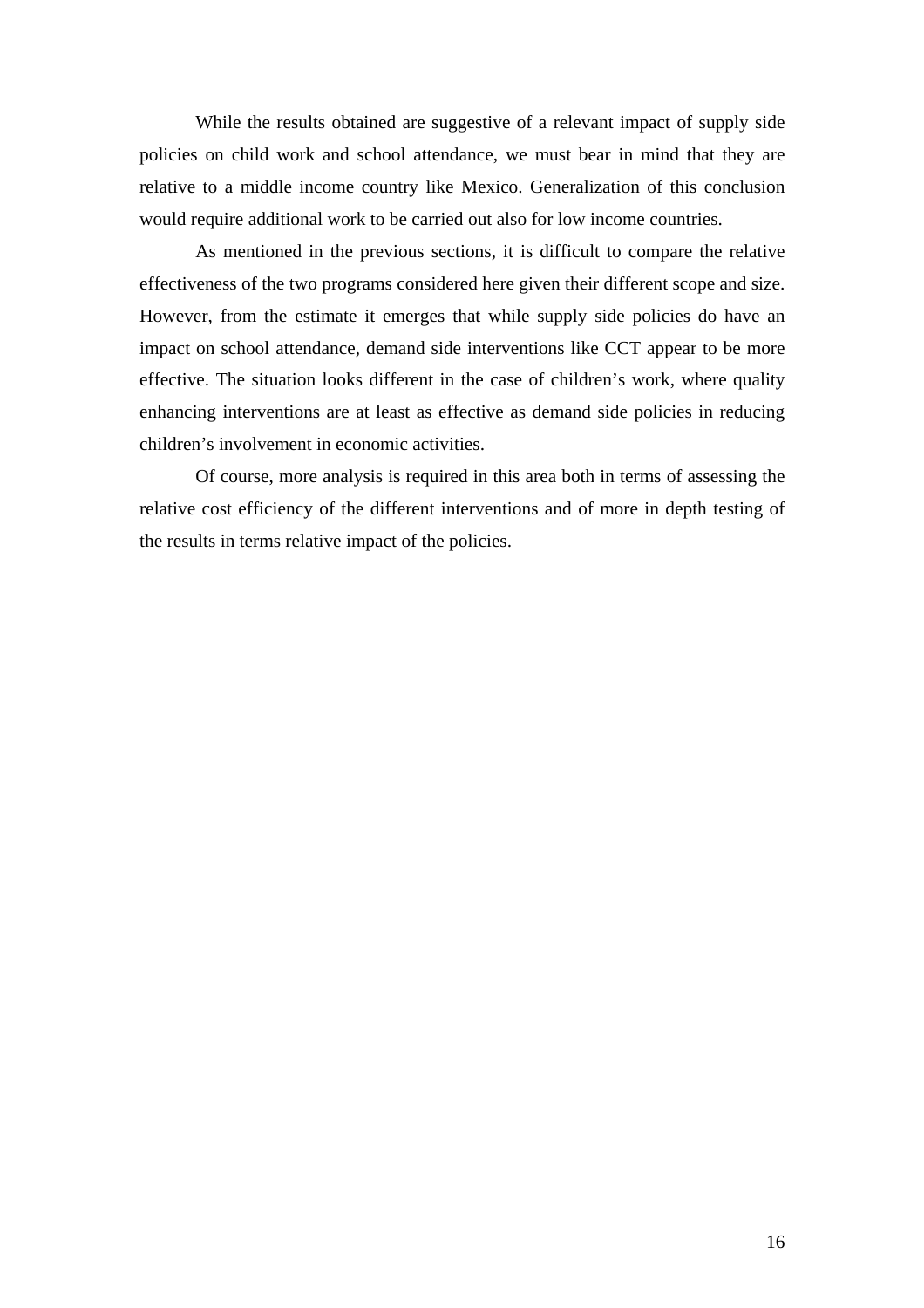While the results obtained are suggestive of a relevant impact of supply side policies on child work and school attendance, we must bear in mind that they are relative to a middle income country like Mexico. Generalization of this conclusion would require additional work to be carried out also for low income countries.

As mentioned in the previous sections, it is difficult to compare the relative effectiveness of the two programs considered here given their different scope and size. However, from the estimate it emerges that while supply side policies do have an impact on school attendance, demand side interventions like CCT appear to be more effective. The situation looks different in the case of children's work, where quality enhancing interventions are at least as effective as demand side policies in reducing children's involvement in economic activities.

Of course, more analysis is required in this area both in terms of assessing the relative cost efficiency of the different interventions and of more in depth testing of the results in terms relative impact of the policies.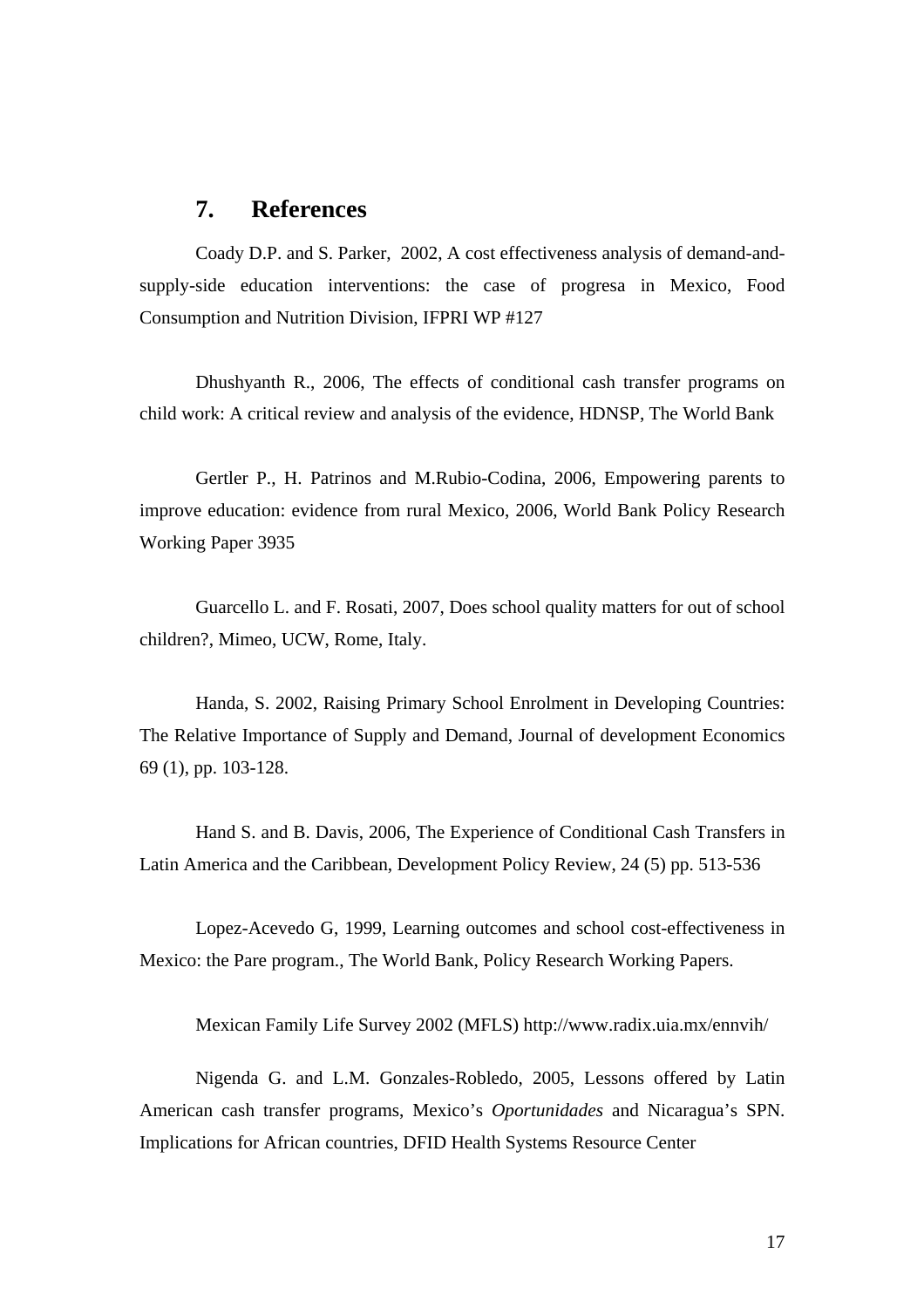### **7. References**

Coady D.P. and S. Parker, 2002, A cost effectiveness analysis of demand-andsupply-side education interventions: the case of progresa in Mexico, Food Consumption and Nutrition Division, IFPRI WP #127

Dhushyanth R., 2006, The effects of conditional cash transfer programs on child work: A critical review and analysis of the evidence, HDNSP, The World Bank

Gertler P., H. Patrinos and M.Rubio-Codina, 2006, Empowering parents to improve education: evidence from rural Mexico, 2006, World Bank Policy Research Working Paper 3935

Guarcello L. and F. Rosati, 2007, Does school quality matters for out of school children?, Mimeo, UCW, Rome, Italy.

Handa, S. 2002, Raising Primary School Enrolment in Developing Countries: The Relative Importance of Supply and Demand, Journal of development Economics 69 (1), pp. 103-128.

Hand S. and B. Davis, 2006, The Experience of Conditional Cash Transfers in Latin America and the Caribbean, Development Policy Review, 24 (5) pp. 513-536

Lopez-Acevedo G, 1999, Learning outcomes and school cost-effectiveness in Mexico: the Pare program., The World Bank, Policy Research Working Papers.

Mexican Family Life Survey 2002 (MFLS) http://www.radix.uia.mx/ennvih/

Nigenda G. and L.M. Gonzales-Robledo, 2005, Lessons offered by Latin American cash transfer programs, Mexico's *Oportunidades* and Nicaragua's SPN. Implications for African countries, DFID Health Systems Resource Center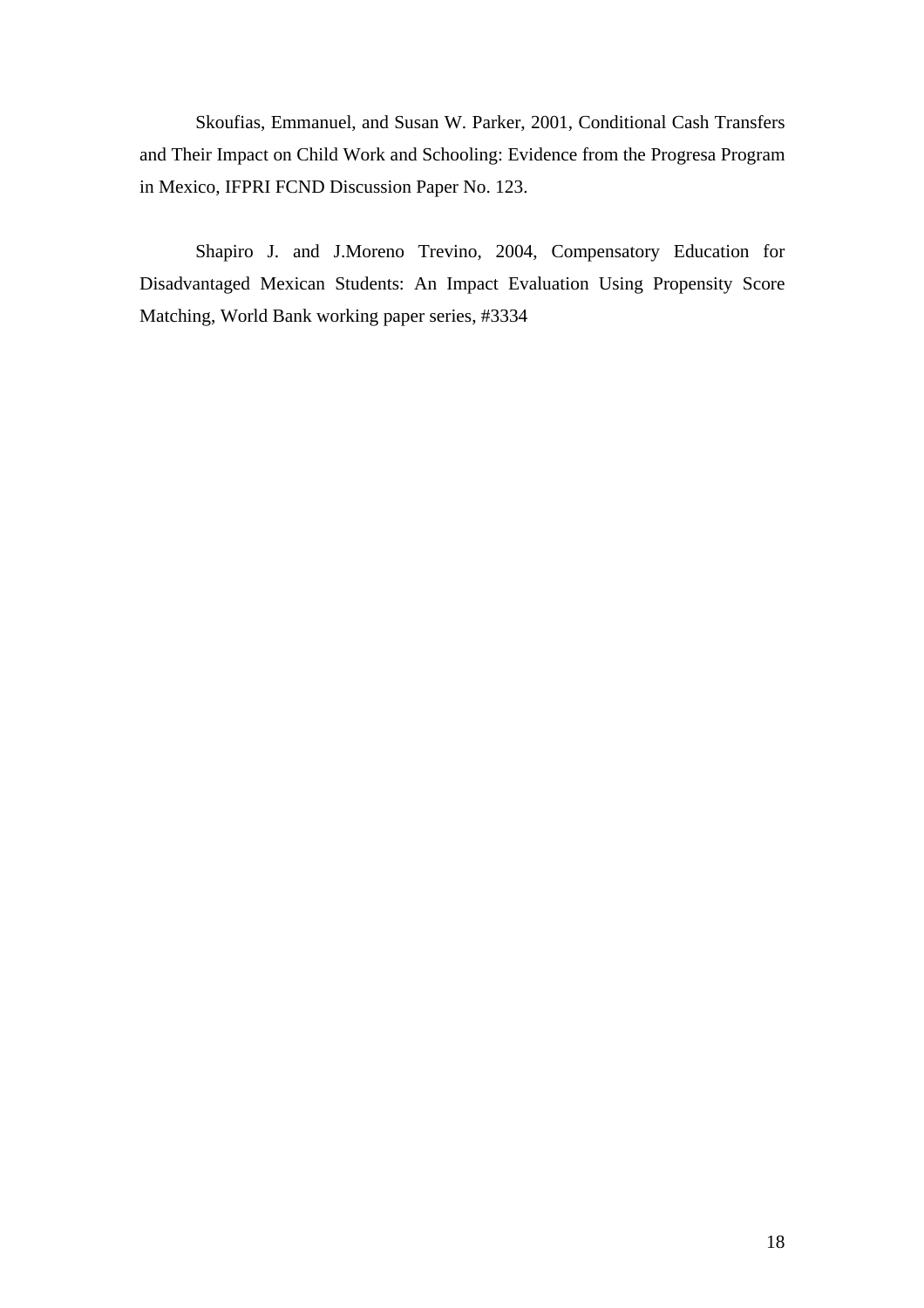Skoufias, Emmanuel, and Susan W. Parker, 2001, Conditional Cash Transfers and Their Impact on Child Work and Schooling: Evidence from the Progresa Program in Mexico, IFPRI FCND Discussion Paper No. 123.

Shapiro J. and J.Moreno Trevino, 2004, Compensatory Education for Disadvantaged Mexican Students: An Impact Evaluation Using Propensity Score Matching, World Bank working paper series, #3334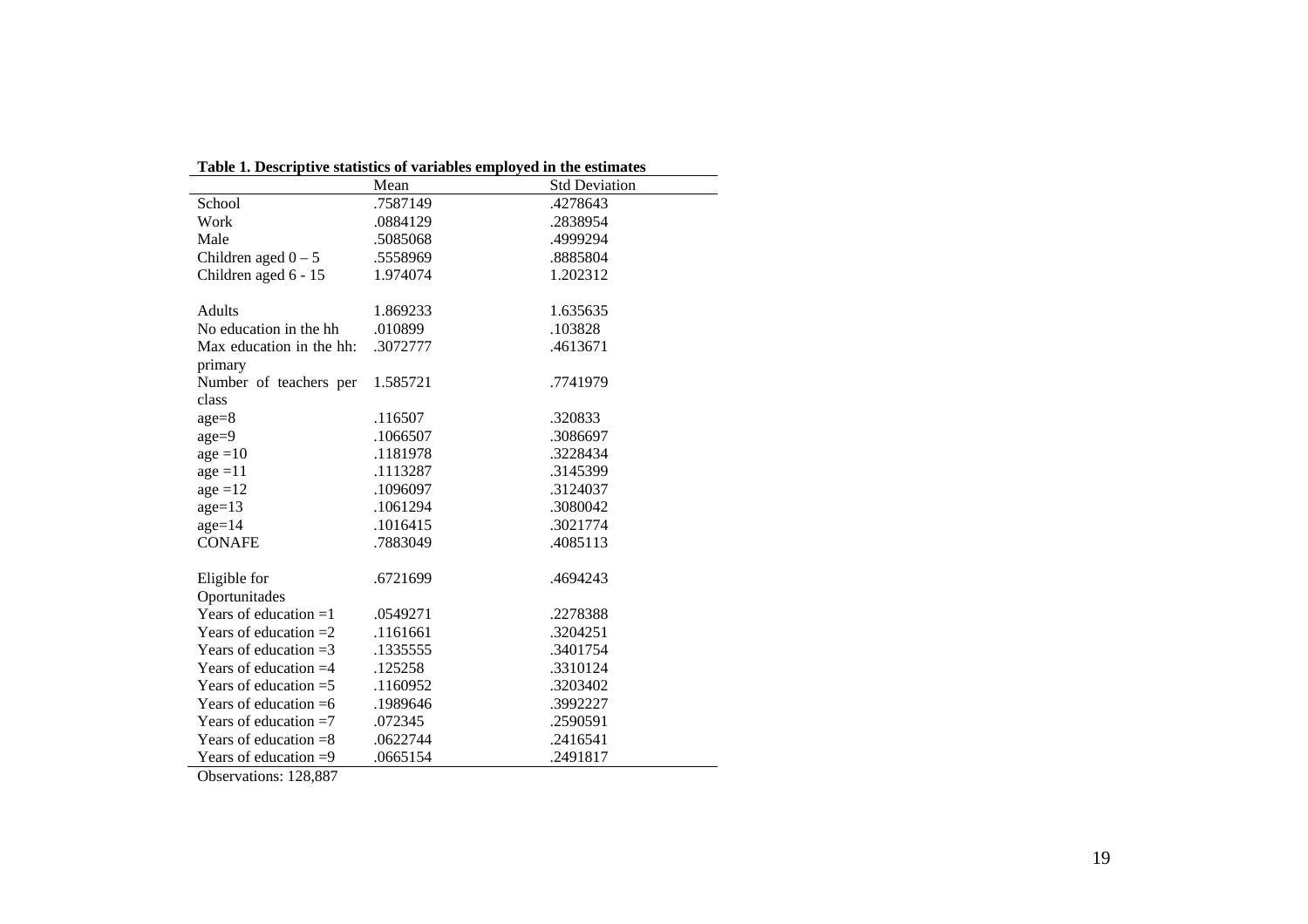| Table 1. Descriptive statistics of variables employed in the estimates |          |                      |
|------------------------------------------------------------------------|----------|----------------------|
|                                                                        | Mean     | <b>Std Deviation</b> |
| School                                                                 | .7587149 | .4278643             |
| Work                                                                   | .0884129 | .2838954             |
| Male                                                                   | .5085068 | .4999294             |
| Children aged $0 - 5$                                                  | .5558969 | .8885804             |
| Children aged 6 - 15                                                   | 1.974074 | 1.202312             |
|                                                                        |          |                      |
| Adults                                                                 | 1.869233 | 1.635635             |
| No education in the hh                                                 | .010899  | .103828              |
| Max education in the hh:                                               | .3072777 | .4613671             |
| primary                                                                |          |                      |
| Number of teachers per                                                 | 1.585721 | .7741979             |
| class                                                                  |          |                      |
| $age = 8$                                                              | .116507  | .320833              |
| $age = 9$                                                              | .1066507 | .3086697             |
| $age = 10$                                                             | .1181978 | .3228434             |
| $age = 11$                                                             | .1113287 | .3145399             |
| $age = 12$                                                             | .1096097 | .3124037             |
| $age=13$                                                               | .1061294 | .3080042             |
| $age=14$                                                               | .1016415 | .3021774             |
| <b>CONAFE</b>                                                          | .7883049 | .4085113             |
|                                                                        |          |                      |
| Eligible for                                                           | .6721699 | .4694243             |
| Oportunitades                                                          |          |                      |
| Years of education $=1$                                                | .0549271 | .2278388             |
| Years of education $=2$                                                | .1161661 | .3204251             |
| Years of education $=3$                                                | .1335555 | .3401754             |
| Years of education $=4$                                                | .125258  | .3310124             |
| Years of education $=$ 5                                               | .1160952 | .3203402             |
| Years of education $=6$                                                | .1989646 | .3992227             |
| Years of education $=7$                                                | .072345  | .2590591             |
| Years of education $=8$                                                | .0622744 | .2416541             |
| Years of education $=9$                                                | .0665154 | .2491817             |

|                    | Table 1. Descriptive statistics of variables employed in the estimates |
|--------------------|------------------------------------------------------------------------|
| $M_{\alpha\alpha}$ | <b>C</b> <sub>td</sub> Dovistion                                       |

Observations: 128,887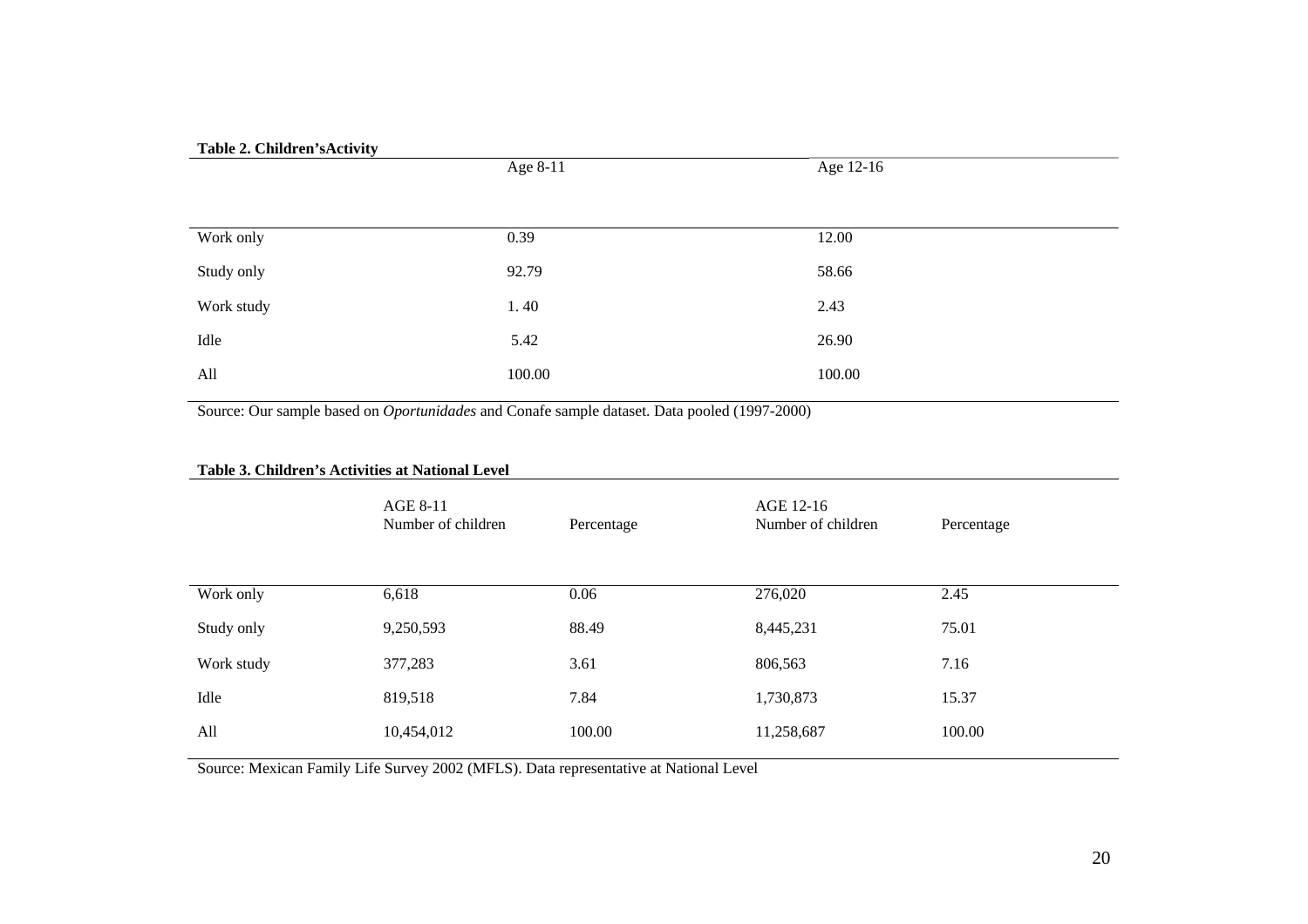| Table 2. Children's Activity |          |           |
|------------------------------|----------|-----------|
|                              | Age 8-11 | Age 12-16 |
|                              |          |           |
|                              |          |           |
| Work only                    | 0.39     | 12.00     |
| Study only                   | 92.79    | 58.66     |
| Work study                   | 1.40     | 2.43      |
| Idle                         | 5.42     | 26.90     |
| All                          | 100.00   | 100.00    |

Source: Our sample based on *Oportunidades* and Conafe sample dataset. Data pooled (1997-2000)

| Table 3. Children's Activities at National Level |                                |            |                                 |            |  |
|--------------------------------------------------|--------------------------------|------------|---------------------------------|------------|--|
|                                                  | AGE 8-11<br>Number of children | Percentage | AGE 12-16<br>Number of children | Percentage |  |
| Work only                                        | 6,618                          | 0.06       | 276,020                         | 2.45       |  |
| Study only                                       | 9,250,593                      | 88.49      | 8,445,231                       | 75.01      |  |
| Work study                                       | 377,283                        | 3.61       | 806,563                         | 7.16       |  |
| Idle                                             | 819,518                        | 7.84       | 1,730,873                       | 15.37      |  |
| All                                              | 10,454,012                     | 100.00     | 11,258,687                      | 100.00     |  |

Source: Mexican Family Life Survey 2002 (MFLS). Data representative at National Level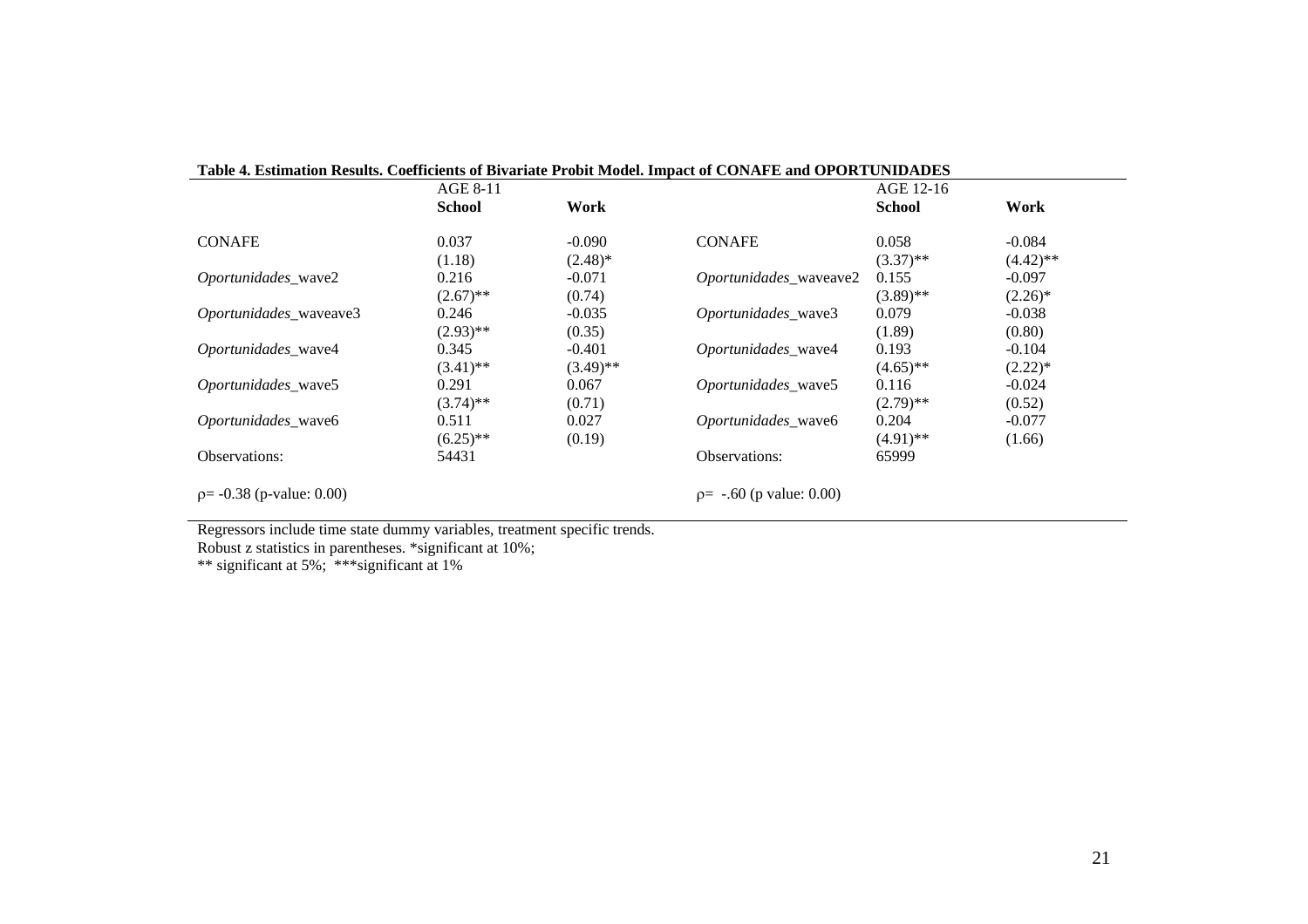| Table 4. Estimation Results. Coefficients of Bivariate Probit Model. Impact of CONAFE and OPORTUNIDADES |               |             |                            |               |             |
|---------------------------------------------------------------------------------------------------------|---------------|-------------|----------------------------|---------------|-------------|
|                                                                                                         | AGE 8-11      |             |                            | AGE 12-16     |             |
|                                                                                                         | <b>School</b> | Work        |                            | <b>School</b> | Work        |
| <b>CONAFE</b>                                                                                           | 0.037         | $-0.090$    | <b>CONAFE</b>              | 0.058         | $-0.084$    |
|                                                                                                         | (1.18)        | $(2.48)$ *  |                            | $(3.37)$ **   | $(4.42)$ ** |
| Oportunidades_wave2                                                                                     | 0.216         | $-0.071$    | Oportunidades_waveave2     | 0.155         | $-0.097$    |
|                                                                                                         | $(2.67)$ **   | (0.74)      |                            | $(3.89)$ **   | $(2.26)^*$  |
| Oportunidades_waveave3                                                                                  | 0.246         | $-0.035$    | Oportunidades_wave3        | 0.079         | $-0.038$    |
|                                                                                                         | $(2.93)$ **   | (0.35)      |                            | (1.89)        | (0.80)      |
| Oportunidades_wave4                                                                                     | 0.345         | $-0.401$    | Oportunidades_wave4        | 0.193         | $-0.104$    |
|                                                                                                         | $(3.41)$ **   | $(3.49)$ ** |                            | $(4.65)$ **   | $(2.22)*$   |
| Oportunidades wave5                                                                                     | 0.291         | 0.067       | Oportunidades wave5        | 0.116         | $-0.024$    |
|                                                                                                         | $(3.74)$ **   | (0.71)      |                            | $(2.79)$ **   | (0.52)      |
| Oportunidades wave6                                                                                     | 0.511         | 0.027       | Oportunidades wave6        | 0.204         | $-0.077$    |
|                                                                                                         | $(6.25)$ **   | (0.19)      |                            | $(4.91)$ **   | (1.66)      |
| Observations:                                                                                           | 54431         |             | Observations:              | 65999         |             |
| $p = -0.38$ (p-value: 0.00)                                                                             |               |             | $p = -.60$ (p value: 0.00) |               |             |

Regressors include time state dummy variables, treatment specific trends.

Robust z statistics in parentheses. \*significant at 10%;

\*\* significant at 5%; \*\*\*significant at 1%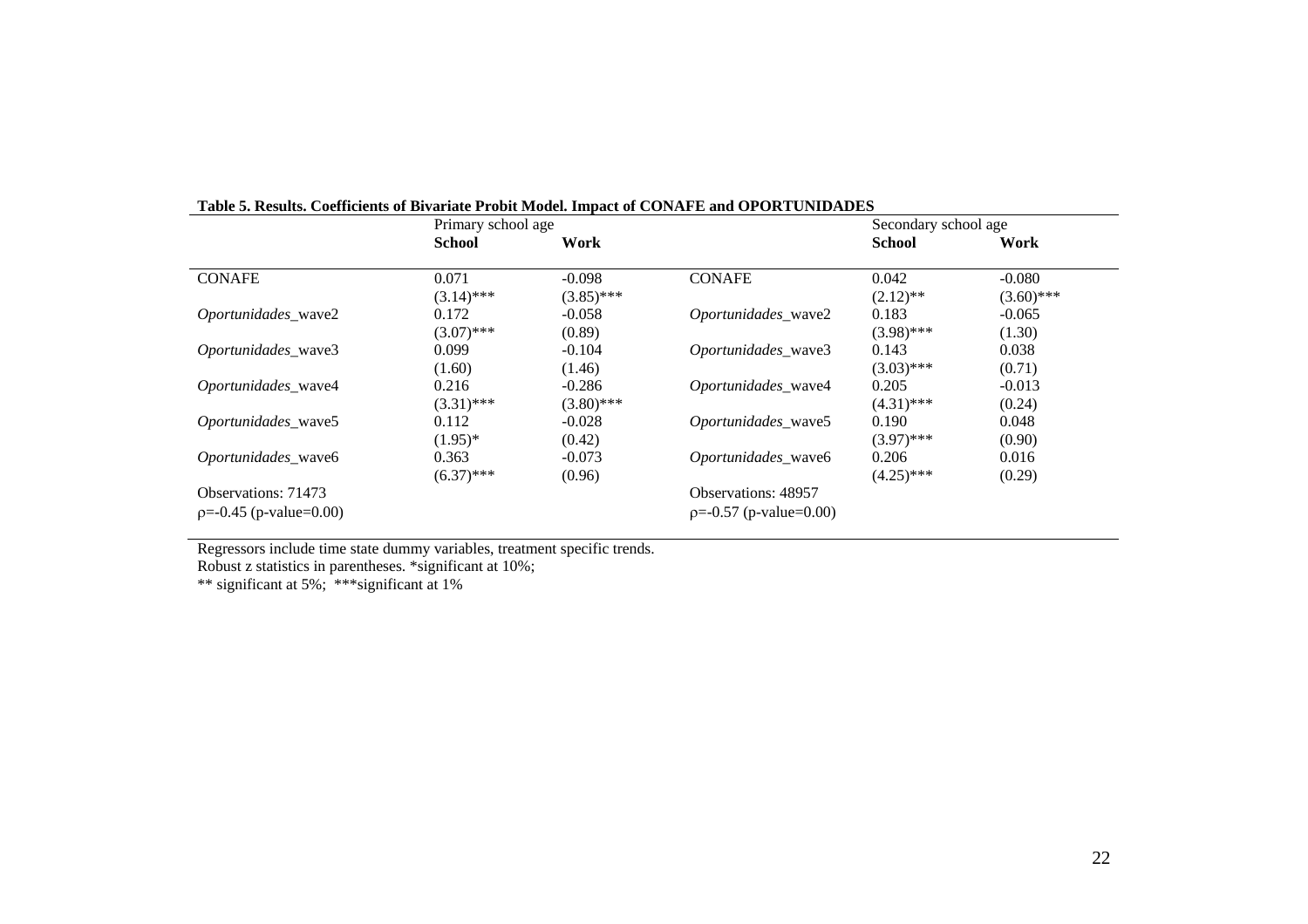|                          | Primary school age |              |                            | Secondary school age |              |
|--------------------------|--------------------|--------------|----------------------------|----------------------|--------------|
|                          | <b>School</b>      | Work         |                            | <b>School</b>        | Work         |
| <b>CONAFE</b>            | 0.071              | $-0.098$     | <b>CONAFE</b>              | 0.042                | $-0.080$     |
|                          | $(3.14)$ ***       | $(3.85)$ *** |                            | $(2.12)$ **          | $(3.60)$ *** |
| Oportunidades_wave2      | 0.172              | $-0.058$     | Oportunidades wave2        | 0.183                | $-0.065$     |
|                          | $(3.07)$ ***       | (0.89)       |                            | $(3.98)$ ***         | (1.30)       |
| Oportunidades_wave3      | 0.099              | $-0.104$     | Oportunidades_wave3        | 0.143                | 0.038        |
|                          | (1.60)             | (1.46)       |                            | $(3.03)$ ***         | (0.71)       |
| Oportunidades_wave4      | 0.216              | $-0.286$     | Oportunidades_wave4        | 0.205                | $-0.013$     |
|                          | $(3.31)$ ***       | $(3.80)$ *** |                            | $(4.31)$ ***         | (0.24)       |
| Oportunidades_wave5      | 0.112              | $-0.028$     | Oportunidades_wave5        | 0.190                | 0.048        |
|                          | $(1.95)^*$         | (0.42)       |                            | $(3.97)$ ***         | (0.90)       |
| Oportunidades_wave6      | 0.363              | $-0.073$     | Oportunidades wave6        | 0.206                | 0.016        |
|                          | $(6.37)$ ***       | (0.96)       |                            | $(4.25)$ ***         | (0.29)       |
| Observations: 71473      |                    |              | <b>Observations: 48957</b> |                      |              |
| $p=-0.45$ (p-value=0.00) |                    |              | $p=-0.57$ (p-value=0.00)   |                      |              |

**Table 5. Results. Coefficients of Bivariate Probit Model. Impact of CONAFE and OPORTUNIDADES** 

Regressors include time state dummy variables, treatment specific trends.

Robust z statistics in parentheses. \*significant at 10%;

\*\* significant at 5%; \*\*\*significant at 1%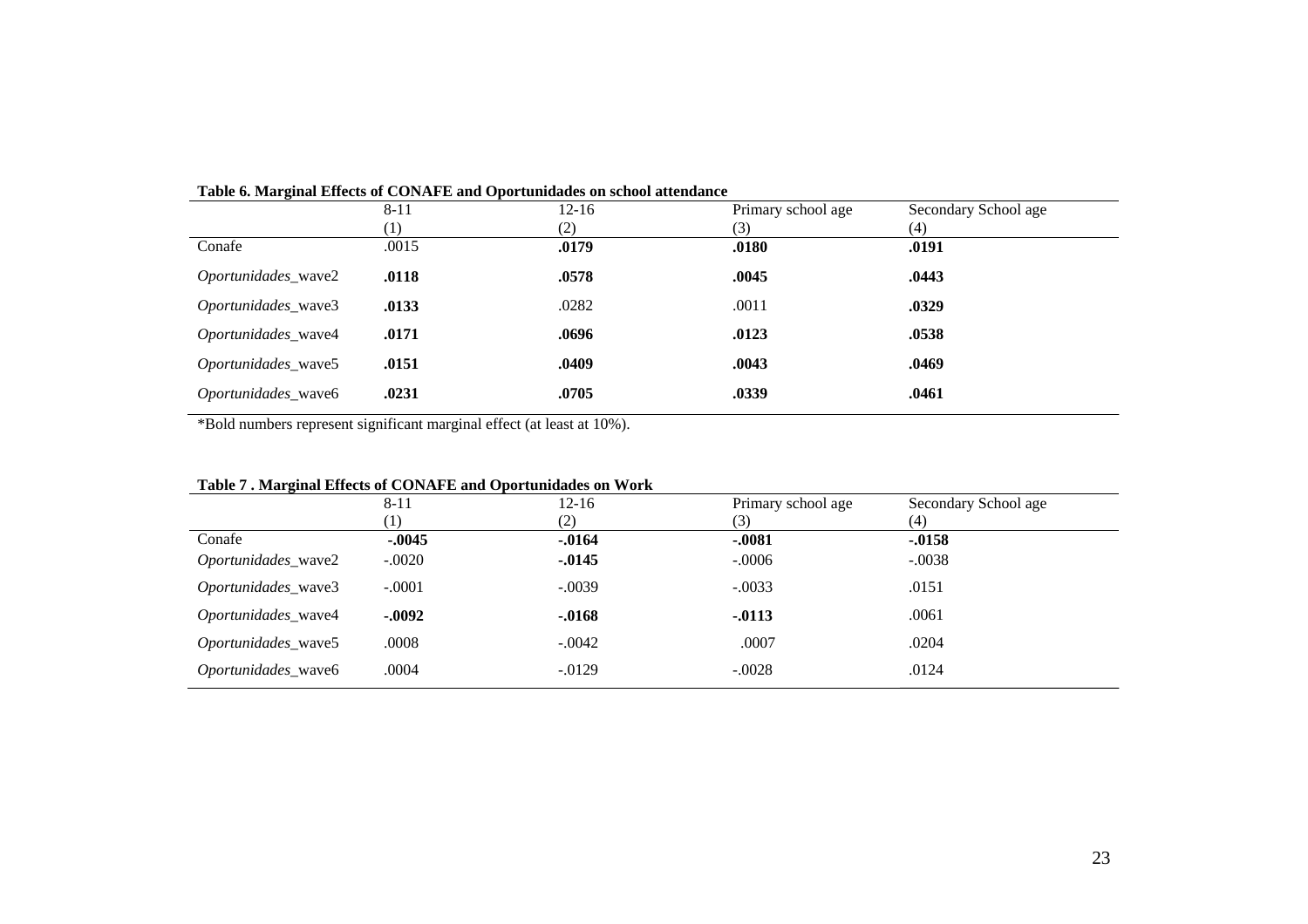|                            |       | Table of mal ginal Effects of COTATE E and Opol tamuates on school attenuance |                    |                      |  |
|----------------------------|-------|-------------------------------------------------------------------------------|--------------------|----------------------|--|
|                            | 8-11  | $12 - 16$                                                                     | Primary school age | Secondary School age |  |
|                            | (1)   | (2)                                                                           | (3)                | (4)                  |  |
| Conafe                     | .0015 | .0179                                                                         | .0180              | .0191                |  |
| <i>Oportunidades_wave2</i> | .0118 | .0578                                                                         | .0045              | .0443                |  |
| Oportunidades_wave3        | .0133 | .0282                                                                         | .0011              | .0329                |  |
| Oportunidades_wave4        | .0171 | .0696                                                                         | .0123              | .0538                |  |
| Oportunidades_wave5        | .0151 | .0409                                                                         | .0043              | .0469                |  |
| Oportunidades_wave6        | .0231 | .0705                                                                         | .0339              | .0461                |  |
|                            |       |                                                                               |                    |                      |  |

#### **Table 6. Marginal Effects of CONAFE and Oportunidades on school attendance**

\*Bold numbers represent significant marginal effect (at least at 10%).

| Table 7. Marginal Effects of CONAFE and Oportunidades on Work |  |  |
|---------------------------------------------------------------|--|--|
|                                                               |  |  |

| $\bullet$           | $8 - 11$         | $12 - 16$ | Primary school age | Secondary School age |
|---------------------|------------------|-----------|--------------------|----------------------|
|                     | $\left(1\right)$ | (2)       | (3)                | (4)                  |
| Conafe              | $-.0045$         | $-0.0164$ | $-.0081$           | $-0.0158$            |
| Oportunidades_wave2 | $-.0020$         | $-0.0145$ | $-.0006$           | $-.0038$             |
| Oportunidades_wave3 | $-.0001$         | $-.0039$  | $-.0033$           | .0151                |
| Oportunidades_wave4 | $-.0092$         | $-0.0168$ | $-0.0113$          | .0061                |
| Oportunidades_wave5 | .0008            | $-.0042$  | .0007              | .0204                |
| Oportunidades_wave6 | .0004            | $-0.0129$ | $-.0028$           | .0124                |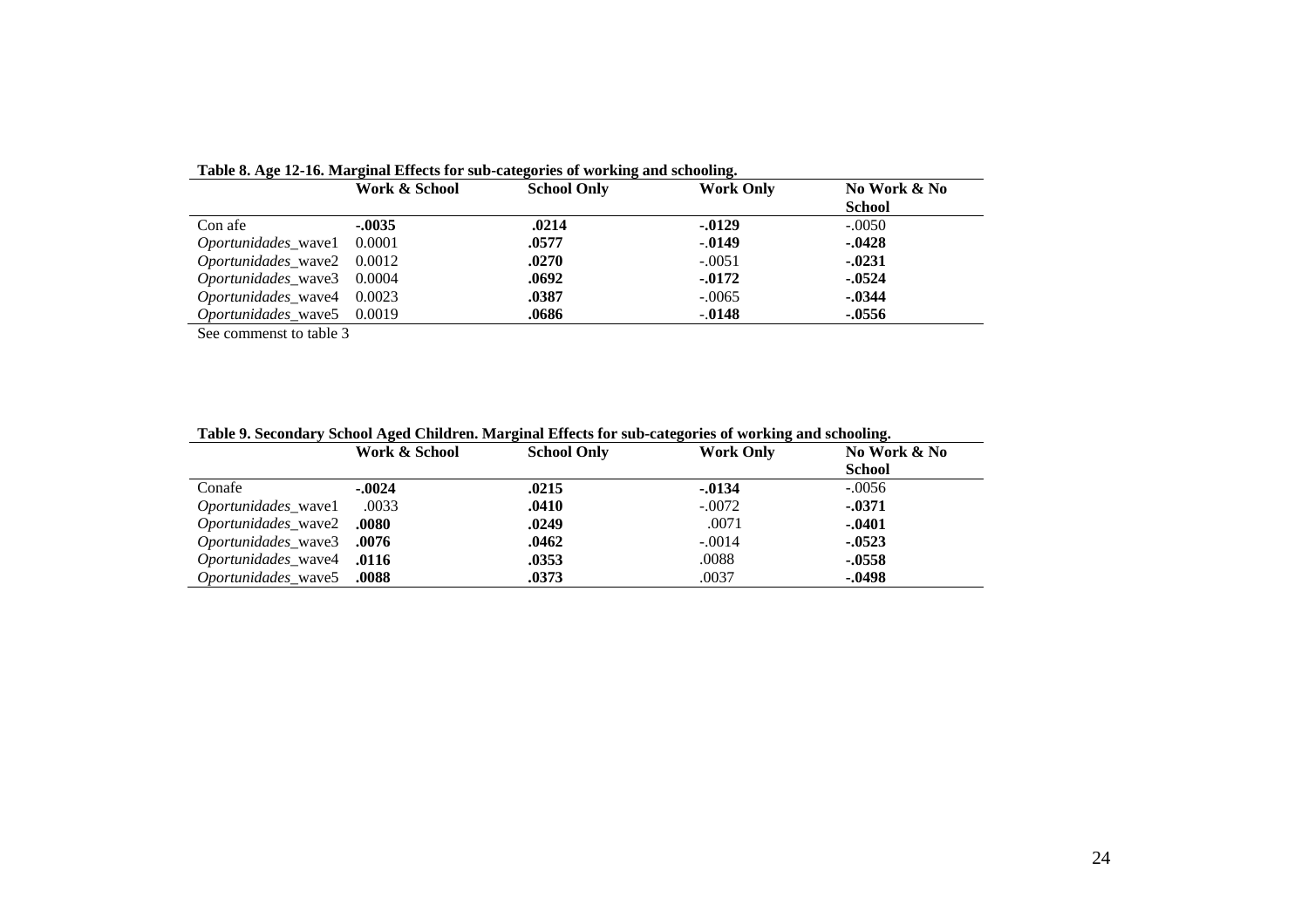|                            | Work & School | <b>School Only</b> | No Work & No |               |
|----------------------------|---------------|--------------------|--------------|---------------|
|                            |               |                    |              | <b>School</b> |
| Con afe                    | $-.0035$      | .0214              | $-0.0129$    | $-.0050$      |
| <i>Oportunidades_wave1</i> | 0.0001        | .0577              | $-0.0149$    | $-0.428$      |
| Oportunidades_wave2 0.0012 |               | .0270              | $-.0051$     | $-0.0231$     |
| Oportunidades_wave3 0.0004 |               | .0692              | $-.0172$     | $-0.524$      |
| Oportunidades_wave4 0.0023 |               | .0387              | $-.0065$     | $-0.344$      |
| Oportunidades wave5 0.0019 |               | .0686              | $-0.0148$    | -.0556        |

**Table 8. Age 12-16. Marginal Effects for sub-categories of working and schooling.**

See commenst to table 3

|                                  | Work & School | <b>School Only</b> | <b>Work Only</b> | No Work & No  |
|----------------------------------|---------------|--------------------|------------------|---------------|
|                                  |               |                    |                  | <b>School</b> |
| Conafe                           | $-.0024$      | .0215              | $-.0134$         | $-.0056$      |
| Oportunidades_wave1              | .0033         | .0410              | $-.0072$         | $-0.371$      |
| Oportunidades_wave2 .0080        |               | .0249              | .0071            | $-0.401$      |
| Oportunidades_wave3 .0076        |               | .0462              | $-.0014$         | $-0.523$      |
| Oportunidades_wave4 .0116        |               | .0353              | .0088            | $-0.558$      |
| <b>Oportunidades wave5</b> .0088 |               | .0373              | .0037            | $-0.498$      |

**Table 9. Secondary School Aged Children. Marginal Effects for sub-categories of working and schooling.**